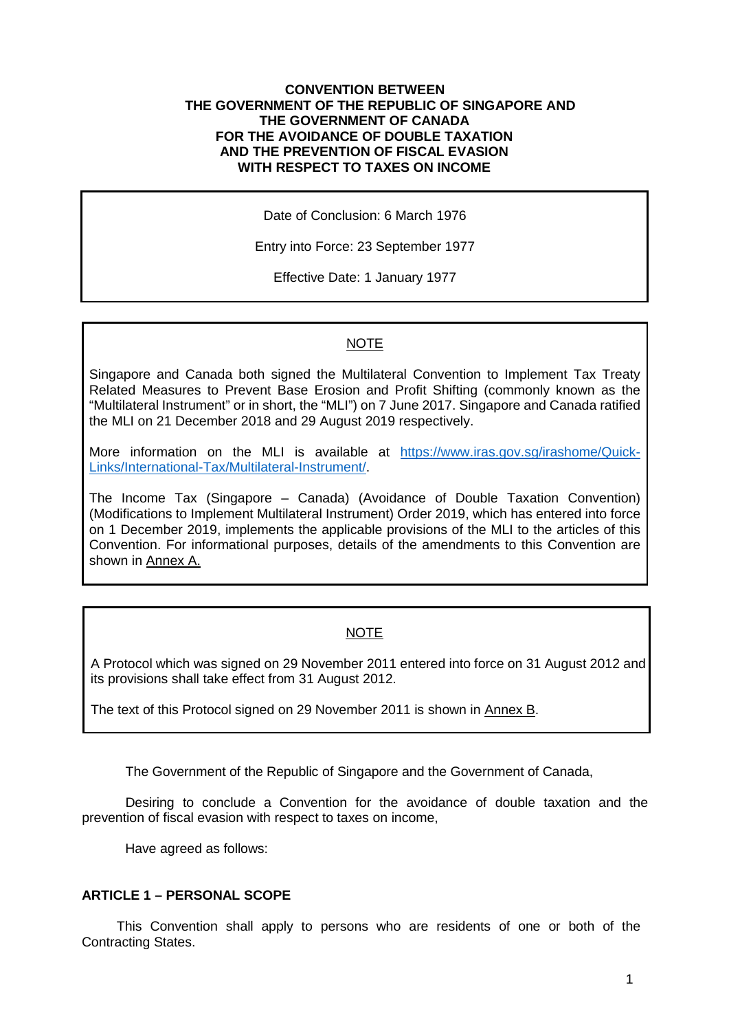#### **CONVENTION BETWEEN THE GOVERNMENT OF THE REPUBLIC OF SINGAPORE AND THE GOVERNMENT OF CANADA FOR THE AVOIDANCE OF DOUBLE TAXATION AND THE PREVENTION OF FISCAL EVASION WITH RESPECT TO TAXES ON INCOME**

Date of Conclusion: 6 March 1976

Entry into Force: 23 September 1977

Effective Date: 1 January 1977

# NOTE

Singapore and Canada both signed the Multilateral Convention to Implement Tax Treaty Related Measures to Prevent Base Erosion and Profit Shifting (commonly known as the "Multilateral Instrument" or in short, the "MLI") on 7 June 2017. Singapore and Canada ratified the MLI on 21 December 2018 and 29 August 2019 respectively.

More information on the MLI is available at [https://www.iras.gov.sg/irashome/Quick-](https://www.iras.gov.sg/irashome/Quick-Links/International-Tax/Multilateral-Instrument/)[Links/International-Tax/Multilateral-Instrument/.](https://www.iras.gov.sg/irashome/Quick-Links/International-Tax/Multilateral-Instrument/)

The Income Tax (Singapore – Canada) (Avoidance of Double Taxation Convention) (Modifications to Implement Multilateral Instrument) Order 2019, which has entered into force on 1 December 2019, implements the applicable provisions of the MLI to the articles of this Convention. For informational purposes, details of the amendments to this Convention are shown in Annex A.

# NOTE

A Protocol which was signed on 29 November 2011 entered into force on 31 August 2012 and its provisions shall take effect from 31 August 2012.

The text of this Protocol signed on 29 November 2011 is shown in Annex B.

The Government of the Republic of Singapore and the Government of Canada,

Desiring to conclude a Convention for the avoidance of double taxation and the prevention of fiscal evasion with respect to taxes on income,

Have agreed as follows:

#### **ARTICLE 1 – PERSONAL SCOPE**

This Convention shall apply to persons who are residents of one or both of the Contracting States.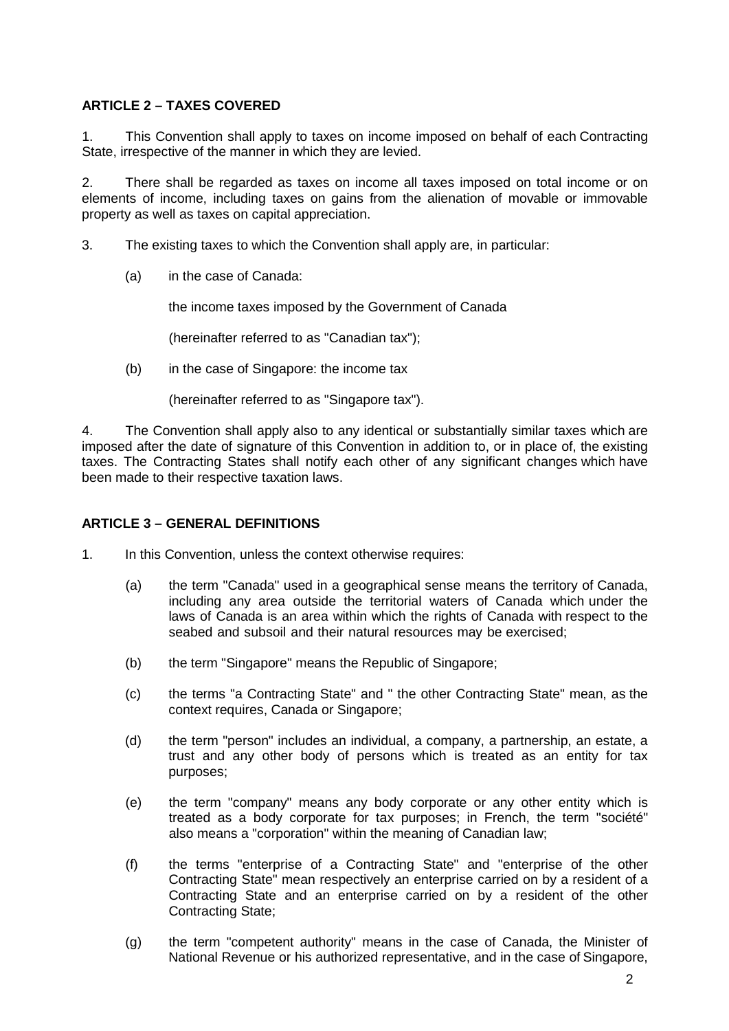# **ARTICLE 2 – TAXES COVERED**

1. This Convention shall apply to taxes on income imposed on behalf of each Contracting State, irrespective of the manner in which they are levied.

2. There shall be regarded as taxes on income all taxes imposed on total income or on elements of income, including taxes on gains from the alienation of movable or immovable property as well as taxes on capital appreciation.

3. The existing taxes to which the Convention shall apply are, in particular:

(a) in the case of Canada:

the income taxes imposed by the Government of Canada

(hereinafter referred to as "Canadian tax");

(b) in the case of Singapore: the income tax

(hereinafter referred to as "Singapore tax").

4. The Convention shall apply also to any identical or substantially similar taxes which are imposed after the date of signature of this Convention in addition to, or in place of, the existing taxes. The Contracting States shall notify each other of any significant changes which have been made to their respective taxation laws.

#### **ARTICLE 3 – GENERAL DEFINITIONS**

- 1. In this Convention, unless the context otherwise requires:
	- (a) the term "Canada" used in a geographical sense means the territory of Canada, including any area outside the territorial waters of Canada which under the laws of Canada is an area within which the rights of Canada with respect to the seabed and subsoil and their natural resources may be exercised;
	- (b) the term "Singapore" means the Republic of Singapore;
	- (c) the terms "a Contracting State" and " the other Contracting State" mean, as the context requires, Canada or Singapore;
	- (d) the term "person" includes an individual, a company, a partnership, an estate, a trust and any other body of persons which is treated as an entity for tax purposes;
	- (e) the term "company" means any body corporate or any other entity which is treated as a body corporate for tax purposes; in French, the term "société" also means a "corporation" within the meaning of Canadian law;
	- (f) the terms "enterprise of a Contracting State" and "enterprise of the other Contracting State" mean respectively an enterprise carried on by a resident of a Contracting State and an enterprise carried on by a resident of the other Contracting State;
	- (g) the term "competent authority" means in the case of Canada, the Minister of National Revenue or his authorized representative, and in the case of Singapore,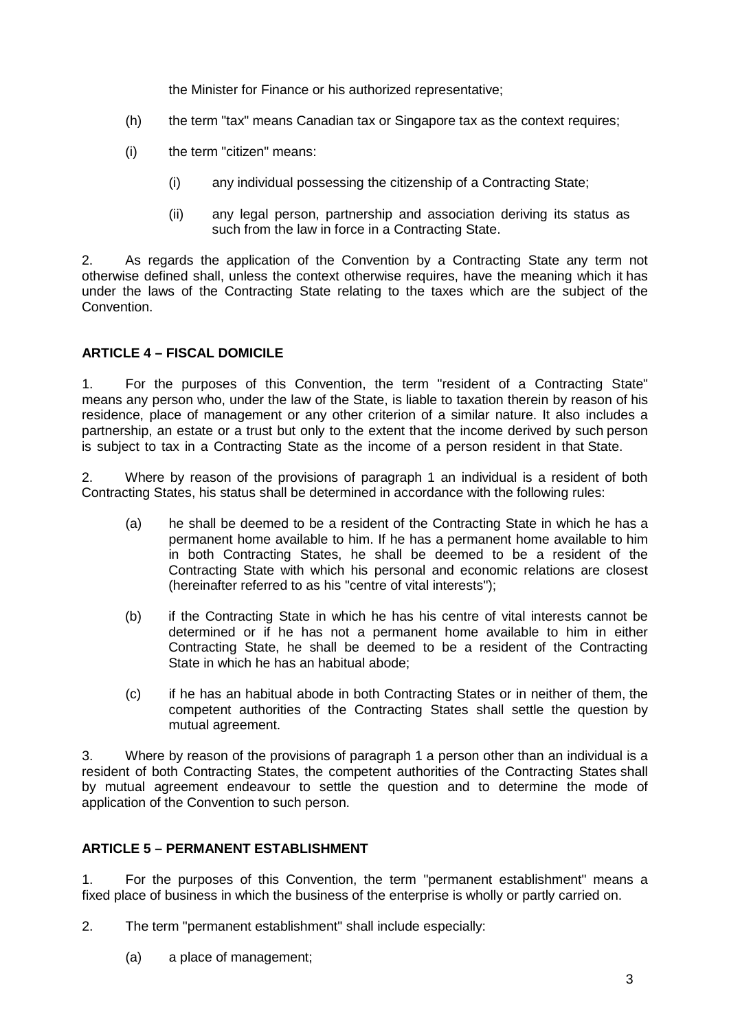the Minister for Finance or his authorized representative;

- (h) the term "tax" means Canadian tax or Singapore tax as the context requires;
- (i) the term "citizen" means:
	- (i) any individual possessing the citizenship of a Contracting State;
	- (ii) any legal person, partnership and association deriving its status as such from the law in force in a Contracting State.

2. As regards the application of the Convention by a Contracting State any term not otherwise defined shall, unless the context otherwise requires, have the meaning which it has under the laws of the Contracting State relating to the taxes which are the subject of the **Convention** 

# **ARTICLE 4 – FISCAL DOMICILE**

1. For the purposes of this Convention, the term "resident of a Contracting State" means any person who, under the law of the State, is liable to taxation therein by reason of his residence, place of management or any other criterion of a similar nature. It also includes a partnership, an estate or a trust but only to the extent that the income derived by such person is subject to tax in a Contracting State as the income of a person resident in that State.

2. Where by reason of the provisions of paragraph 1 an individual is a resident of both Contracting States, his status shall be determined in accordance with the following rules:

- (a) he shall be deemed to be a resident of the Contracting State in which he has a permanent home available to him. If he has a permanent home available to him in both Contracting States, he shall be deemed to be a resident of the Contracting State with which his personal and economic relations are closest (hereinafter referred to as his "centre of vital interests");
- (b) if the Contracting State in which he has his centre of vital interests cannot be determined or if he has not a permanent home available to him in either Contracting State, he shall be deemed to be a resident of the Contracting State in which he has an habitual abode;
- (c) if he has an habitual abode in both Contracting States or in neither of them, the competent authorities of the Contracting States shall settle the question by mutual agreement.

3. Where by reason of the provisions of paragraph 1 a person other than an individual is a resident of both Contracting States, the competent authorities of the Contracting States shall by mutual agreement endeavour to settle the question and to determine the mode of application of the Convention to such person.

#### **ARTICLE 5 – PERMANENT ESTABLISHMENT**

1. For the purposes of this Convention, the term "permanent establishment" means a fixed place of business in which the business of the enterprise is wholly or partly carried on.

- 2. The term "permanent establishment" shall include especially:
	- (a) a place of management;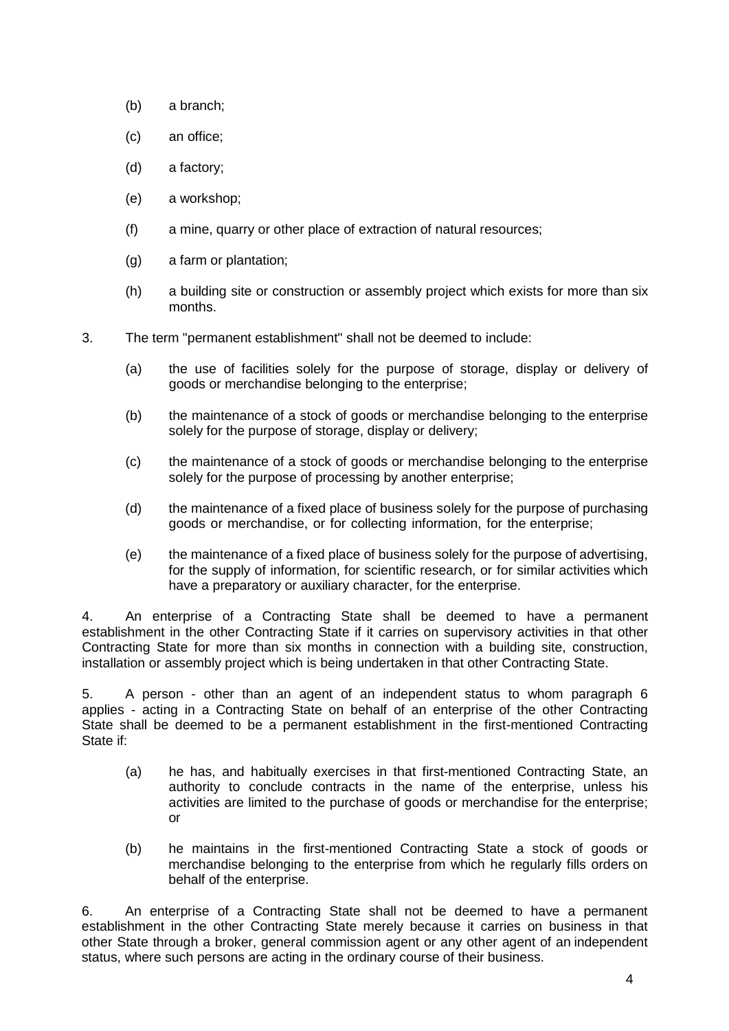- (b) a branch;
- (c) an office;
- (d) a factory;
- (e) a workshop;
- (f) a mine, quarry or other place of extraction of natural resources;
- (g) a farm or plantation;
- (h) a building site or construction or assembly project which exists for more than six months.
- 3. The term "permanent establishment" shall not be deemed to include:
	- (a) the use of facilities solely for the purpose of storage, display or delivery of goods or merchandise belonging to the enterprise;
	- (b) the maintenance of a stock of goods or merchandise belonging to the enterprise solely for the purpose of storage, display or delivery;
	- (c) the maintenance of a stock of goods or merchandise belonging to the enterprise solely for the purpose of processing by another enterprise;
	- (d) the maintenance of a fixed place of business solely for the purpose of purchasing goods or merchandise, or for collecting information, for the enterprise;
	- (e) the maintenance of a fixed place of business solely for the purpose of advertising, for the supply of information, for scientific research, or for similar activities which have a preparatory or auxiliary character, for the enterprise.

4. An enterprise of a Contracting State shall be deemed to have a permanent establishment in the other Contracting State if it carries on supervisory activities in that other Contracting State for more than six months in connection with a building site, construction, installation or assembly project which is being undertaken in that other Contracting State.

5. A person - other than an agent of an independent status to whom paragraph 6 applies - acting in a Contracting State on behalf of an enterprise of the other Contracting State shall be deemed to be a permanent establishment in the first-mentioned Contracting State if:

- (a) he has, and habitually exercises in that first-mentioned Contracting State, an authority to conclude contracts in the name of the enterprise, unless his activities are limited to the purchase of goods or merchandise for the enterprise; or
- (b) he maintains in the first-mentioned Contracting State a stock of goods or merchandise belonging to the enterprise from which he regularly fills orders on behalf of the enterprise.

6. An enterprise of a Contracting State shall not be deemed to have a permanent establishment in the other Contracting State merely because it carries on business in that other State through a broker, general commission agent or any other agent of an independent status, where such persons are acting in the ordinary course of their business.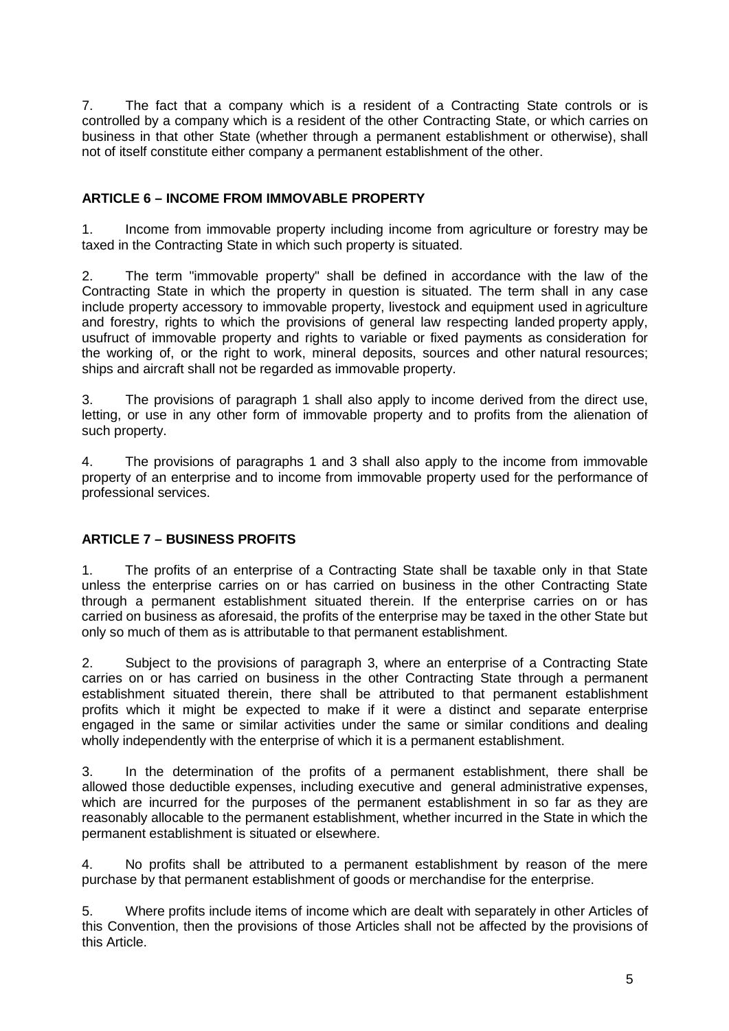7. The fact that a company which is a resident of a Contracting State controls or is controlled by a company which is a resident of the other Contracting State, or which carries on business in that other State (whether through a permanent establishment or otherwise), shall not of itself constitute either company a permanent establishment of the other.

# **ARTICLE 6 – INCOME FROM IMMOVABLE PROPERTY**

1. Income from immovable property including income from agriculture or forestry may be taxed in the Contracting State in which such property is situated.

2. The term "immovable property" shall be defined in accordance with the law of the Contracting State in which the property in question is situated. The term shall in any case include property accessory to immovable property, livestock and equipment used in agriculture and forestry, rights to which the provisions of general law respecting landed property apply, usufruct of immovable property and rights to variable or fixed payments as consideration for the working of, or the right to work, mineral deposits, sources and other natural resources; ships and aircraft shall not be regarded as immovable property.

3. The provisions of paragraph 1 shall also apply to income derived from the direct use, letting, or use in any other form of immovable property and to profits from the alienation of such property.

4. The provisions of paragraphs 1 and 3 shall also apply to the income from immovable property of an enterprise and to income from immovable property used for the performance of professional services.

# **ARTICLE 7 – BUSINESS PROFITS**

1. The profits of an enterprise of a Contracting State shall be taxable only in that State unless the enterprise carries on or has carried on business in the other Contracting State through a permanent establishment situated therein. If the enterprise carries on or has carried on business as aforesaid, the profits of the enterprise may be taxed in the other State but only so much of them as is attributable to that permanent establishment.

2. Subject to the provisions of paragraph 3, where an enterprise of a Contracting State carries on or has carried on business in the other Contracting State through a permanent establishment situated therein, there shall be attributed to that permanent establishment profits which it might be expected to make if it were a distinct and separate enterprise engaged in the same or similar activities under the same or similar conditions and dealing wholly independently with the enterprise of which it is a permanent establishment.

3. In the determination of the profits of a permanent establishment, there shall be allowed those deductible expenses, including executive and general administrative expenses, which are incurred for the purposes of the permanent establishment in so far as they are reasonably allocable to the permanent establishment, whether incurred in the State in which the permanent establishment is situated or elsewhere.

4. No profits shall be attributed to a permanent establishment by reason of the mere purchase by that permanent establishment of goods or merchandise for the enterprise.

5. Where profits include items of income which are dealt with separately in other Articles of this Convention, then the provisions of those Articles shall not be affected by the provisions of this Article.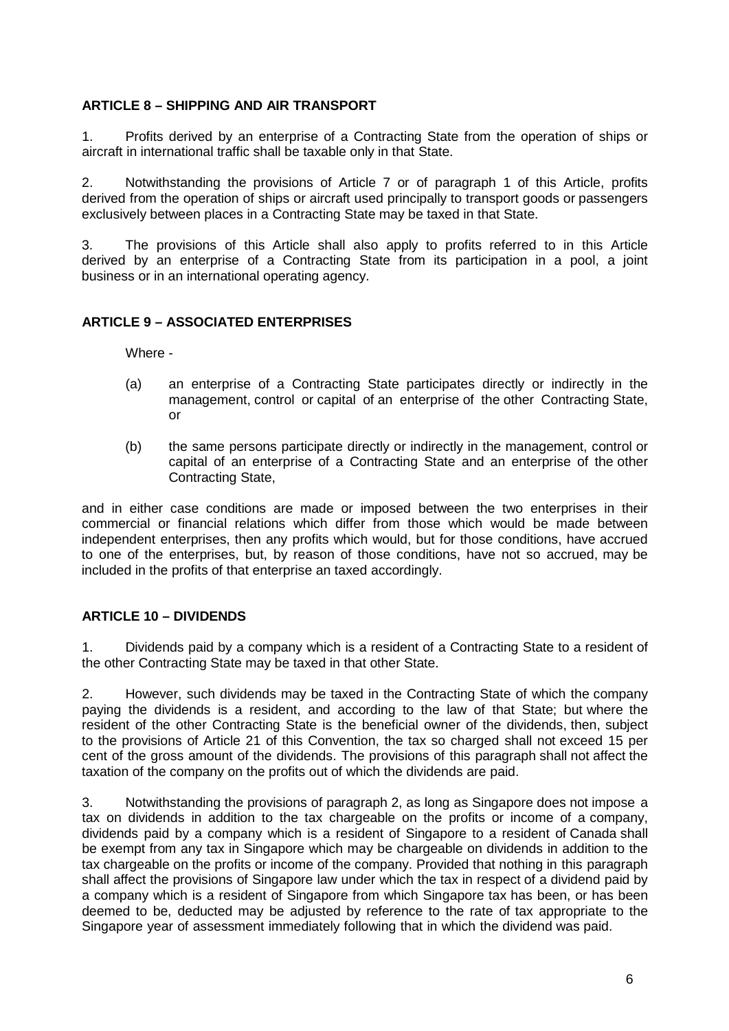# **ARTICLE 8 – SHIPPING AND AIR TRANSPORT**

1. Profits derived by an enterprise of a Contracting State from the operation of ships or aircraft in international traffic shall be taxable only in that State.

2. Notwithstanding the provisions of Article 7 or of paragraph 1 of this Article, profits derived from the operation of ships or aircraft used principally to transport goods or passengers exclusively between places in a Contracting State may be taxed in that State.

3. The provisions of this Article shall also apply to profits referred to in this Article derived by an enterprise of a Contracting State from its participation in a pool, a joint business or in an international operating agency.

# **ARTICLE 9 – ASSOCIATED ENTERPRISES**

Where -

- (a) an enterprise of a Contracting State participates directly or indirectly in the management, control or capital of an enterprise of the other Contracting State, or
- (b) the same persons participate directly or indirectly in the management, control or capital of an enterprise of a Contracting State and an enterprise of the other Contracting State,

and in either case conditions are made or imposed between the two enterprises in their commercial or financial relations which differ from those which would be made between independent enterprises, then any profits which would, but for those conditions, have accrued to one of the enterprises, but, by reason of those conditions, have not so accrued, may be included in the profits of that enterprise an taxed accordingly.

#### **ARTICLE 10 – DIVIDENDS**

1. Dividends paid by a company which is a resident of a Contracting State to a resident of the other Contracting State may be taxed in that other State.

2. However, such dividends may be taxed in the Contracting State of which the company paying the dividends is a resident, and according to the law of that State; but where the resident of the other Contracting State is the beneficial owner of the dividends, then, subject to the provisions of Article 21 of this Convention, the tax so charged shall not exceed 15 per cent of the gross amount of the dividends. The provisions of this paragraph shall not affect the taxation of the company on the profits out of which the dividends are paid.

3. Notwithstanding the provisions of paragraph 2, as long as Singapore does not impose a tax on dividends in addition to the tax chargeable on the profits or income of a company, dividends paid by a company which is a resident of Singapore to a resident of Canada shall be exempt from any tax in Singapore which may be chargeable on dividends in addition to the tax chargeable on the profits or income of the company. Provided that nothing in this paragraph shall affect the provisions of Singapore law under which the tax in respect of a dividend paid by a company which is a resident of Singapore from which Singapore tax has been, or has been deemed to be, deducted may be adjusted by reference to the rate of tax appropriate to the Singapore year of assessment immediately following that in which the dividend was paid.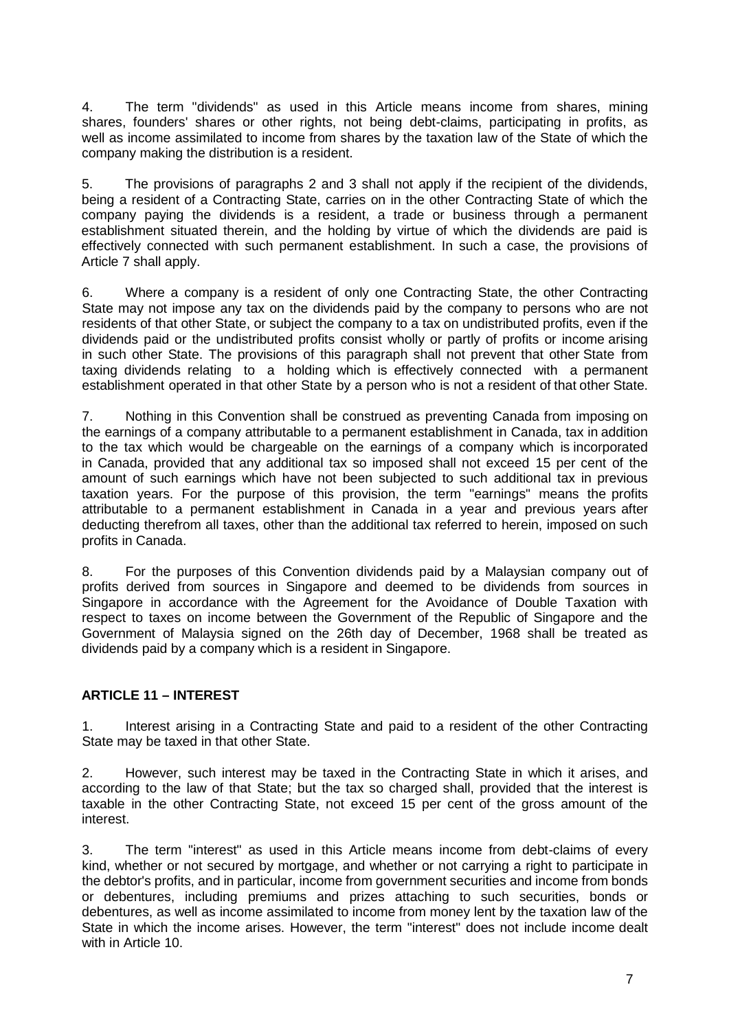4. The term "dividends" as used in this Article means income from shares, mining shares, founders' shares or other rights, not being debt-claims, participating in profits, as well as income assimilated to income from shares by the taxation law of the State of which the company making the distribution is a resident.

5. The provisions of paragraphs 2 and 3 shall not apply if the recipient of the dividends, being a resident of a Contracting State, carries on in the other Contracting State of which the company paying the dividends is a resident, a trade or business through a permanent establishment situated therein, and the holding by virtue of which the dividends are paid is effectively connected with such permanent establishment. In such a case, the provisions of Article 7 shall apply.

6. Where a company is a resident of only one Contracting State, the other Contracting State may not impose any tax on the dividends paid by the company to persons who are not residents of that other State, or subject the company to a tax on undistributed profits, even if the dividends paid or the undistributed profits consist wholly or partly of profits or income arising in such other State. The provisions of this paragraph shall not prevent that other State from taxing dividends relating to a holding which is effectively connected with a permanent establishment operated in that other State by a person who is not a resident of that other State.

7. Nothing in this Convention shall be construed as preventing Canada from imposing on the earnings of a company attributable to a permanent establishment in Canada, tax in addition to the tax which would be chargeable on the earnings of a company which is incorporated in Canada, provided that any additional tax so imposed shall not exceed 15 per cent of the amount of such earnings which have not been subjected to such additional tax in previous taxation years. For the purpose of this provision, the term "earnings" means the profits attributable to a permanent establishment in Canada in a year and previous years after deducting therefrom all taxes, other than the additional tax referred to herein, imposed on such profits in Canada.

8. For the purposes of this Convention dividends paid by a Malaysian company out of profits derived from sources in Singapore and deemed to be dividends from sources in Singapore in accordance with the Agreement for the Avoidance of Double Taxation with respect to taxes on income between the Government of the Republic of Singapore and the Government of Malaysia signed on the 26th day of December, 1968 shall be treated as dividends paid by a company which is a resident in Singapore.

#### **ARTICLE 11 – INTEREST**

1. Interest arising in a Contracting State and paid to a resident of the other Contracting State may be taxed in that other State.

2. However, such interest may be taxed in the Contracting State in which it arises, and according to the law of that State; but the tax so charged shall, provided that the interest is taxable in the other Contracting State, not exceed 15 per cent of the gross amount of the interest.

3. The term "interest" as used in this Article means income from debt-claims of every kind, whether or not secured by mortgage, and whether or not carrying a right to participate in the debtor's profits, and in particular, income from government securities and income from bonds or debentures, including premiums and prizes attaching to such securities, bonds or debentures, as well as income assimilated to income from money lent by the taxation law of the State in which the income arises. However, the term "interest" does not include income dealt with in Article 10.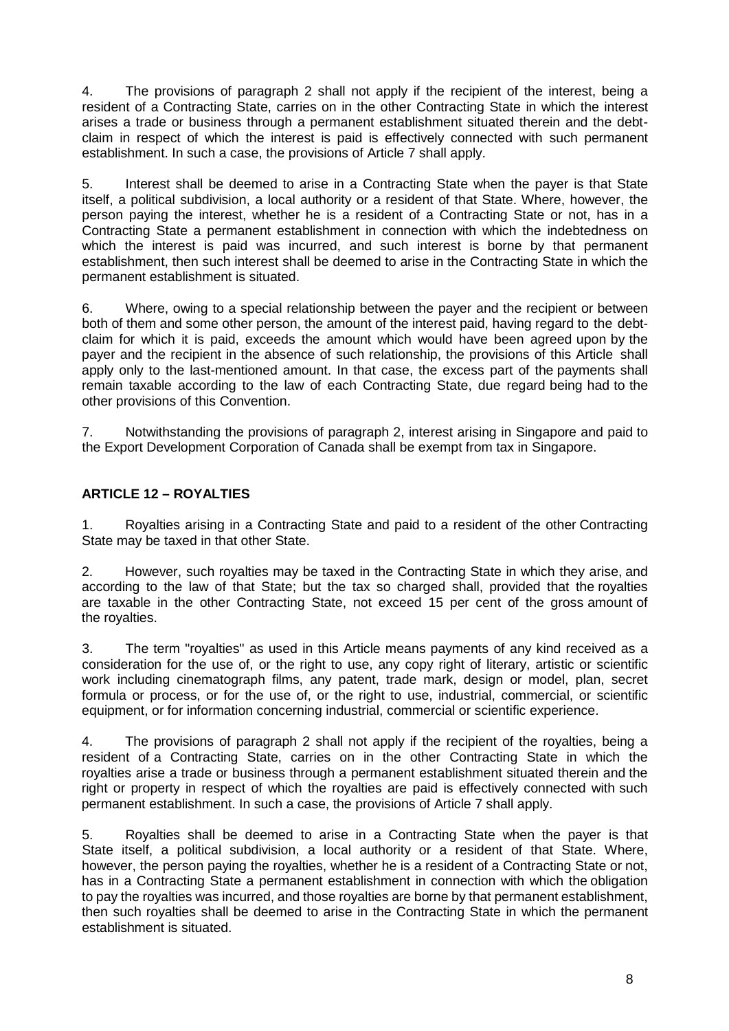4. The provisions of paragraph 2 shall not apply if the recipient of the interest, being a resident of a Contracting State, carries on in the other Contracting State in which the interest arises a trade or business through a permanent establishment situated therein and the debtclaim in respect of which the interest is paid is effectively connected with such permanent establishment. In such a case, the provisions of Article 7 shall apply.

5. Interest shall be deemed to arise in a Contracting State when the payer is that State itself, a political subdivision, a local authority or a resident of that State. Where, however, the person paying the interest, whether he is a resident of a Contracting State or not, has in a Contracting State a permanent establishment in connection with which the indebtedness on which the interest is paid was incurred, and such interest is borne by that permanent establishment, then such interest shall be deemed to arise in the Contracting State in which the permanent establishment is situated.

6. Where, owing to a special relationship between the payer and the recipient or between both of them and some other person, the amount of the interest paid, having regard to the debtclaim for which it is paid, exceeds the amount which would have been agreed upon by the payer and the recipient in the absence of such relationship, the provisions of this Article shall apply only to the last-mentioned amount. In that case, the excess part of the payments shall remain taxable according to the law of each Contracting State, due regard being had to the other provisions of this Convention.

7. Notwithstanding the provisions of paragraph 2, interest arising in Singapore and paid to the Export Development Corporation of Canada shall be exempt from tax in Singapore.

# **ARTICLE 12 – ROYALTIES**

1. Royalties arising in a Contracting State and paid to a resident of the other Contracting State may be taxed in that other State.

2. However, such royalties may be taxed in the Contracting State in which they arise, and according to the law of that State; but the tax so charged shall, provided that the royalties are taxable in the other Contracting State, not exceed 15 per cent of the gross amount of the royalties.

3. The term "royalties" as used in this Article means payments of any kind received as a consideration for the use of, or the right to use, any copy right of literary, artistic or scientific work including cinematograph films, any patent, trade mark, design or model, plan, secret formula or process, or for the use of, or the right to use, industrial, commercial, or scientific equipment, or for information concerning industrial, commercial or scientific experience.

4. The provisions of paragraph 2 shall not apply if the recipient of the royalties, being a resident of a Contracting State, carries on in the other Contracting State in which the royalties arise a trade or business through a permanent establishment situated therein and the right or property in respect of which the royalties are paid is effectively connected with such permanent establishment. In such a case, the provisions of Article 7 shall apply.

5. Royalties shall be deemed to arise in a Contracting State when the payer is that State itself, a political subdivision, a local authority or a resident of that State. Where, however, the person paying the royalties, whether he is a resident of a Contracting State or not, has in a Contracting State a permanent establishment in connection with which the obligation to pay the royalties was incurred, and those royalties are borne by that permanent establishment, then such royalties shall be deemed to arise in the Contracting State in which the permanent establishment is situated.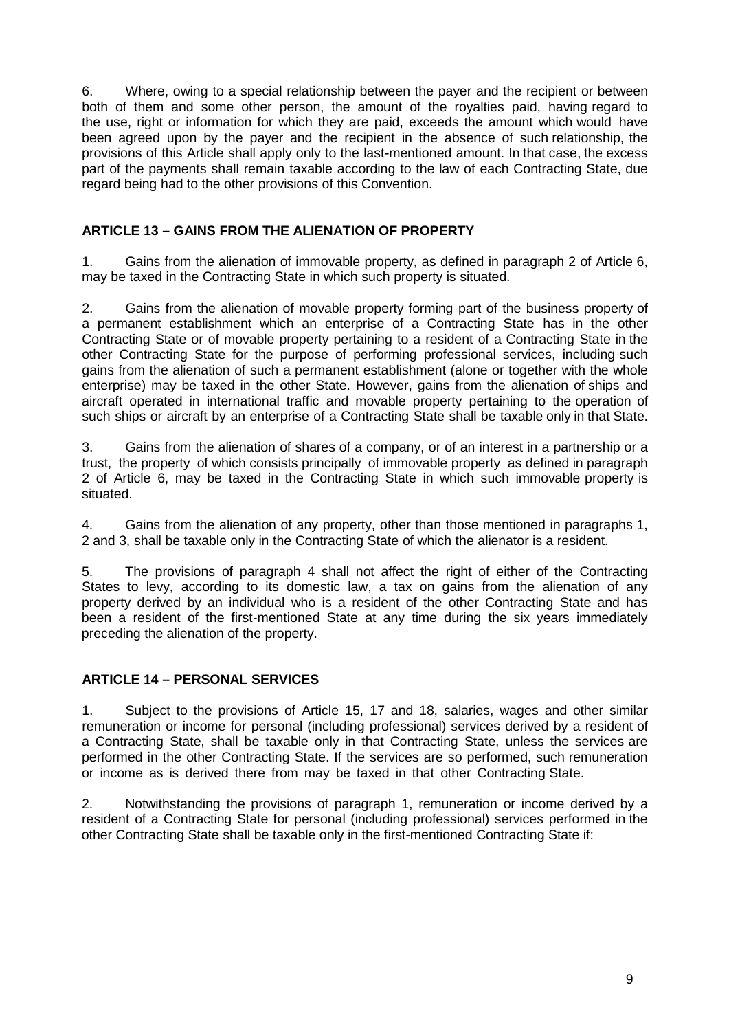6. Where, owing to a special relationship between the payer and the recipient or between both of them and some other person, the amount of the royalties paid, having regard to the use, right or information for which they are paid, exceeds the amount which would have been agreed upon by the payer and the recipient in the absence of such relationship, the provisions of this Article shall apply only to the last-mentioned amount. In that case, the excess part of the payments shall remain taxable according to the law of each Contracting State, due regard being had to the other provisions of this Convention.

# **ARTICLE 13 – GAINS FROM THE ALIENATION OF PROPERTY**

1. Gains from the alienation of immovable property, as defined in paragraph 2 of Article 6, may be taxed in the Contracting State in which such property is situated.

2. Gains from the alienation of movable property forming part of the business property of a permanent establishment which an enterprise of a Contracting State has in the other Contracting State or of movable property pertaining to a resident of a Contracting State in the other Contracting State for the purpose of performing professional services, including such gains from the alienation of such a permanent establishment (alone or together with the whole enterprise) may be taxed in the other State. However, gains from the alienation of ships and aircraft operated in international traffic and movable property pertaining to the operation of such ships or aircraft by an enterprise of a Contracting State shall be taxable only in that State.

3. Gains from the alienation of shares of a company, or of an interest in a partnership or a trust, the property of which consists principally of immovable property as defined in paragraph 2 of Article 6, may be taxed in the Contracting State in which such immovable property is situated.

4. Gains from the alienation of any property, other than those mentioned in paragraphs 1, 2 and 3, shall be taxable only in the Contracting State of which the alienator is a resident.

5. The provisions of paragraph 4 shall not affect the right of either of the Contracting States to levy, according to its domestic law, a tax on gains from the alienation of any property derived by an individual who is a resident of the other Contracting State and has been a resident of the first-mentioned State at any time during the six years immediately preceding the alienation of the property.

# **ARTICLE 14 – PERSONAL SERVICES**

1. Subject to the provisions of Article 15, 17 and 18, salaries, wages and other similar remuneration or income for personal (including professional) services derived by a resident of a Contracting State, shall be taxable only in that Contracting State, unless the services are performed in the other Contracting State. If the services are so performed, such remuneration or income as is derived there from may be taxed in that other Contracting State.

2. Notwithstanding the provisions of paragraph 1, remuneration or income derived by a resident of a Contracting State for personal (including professional) services performed in the other Contracting State shall be taxable only in the first-mentioned Contracting State if: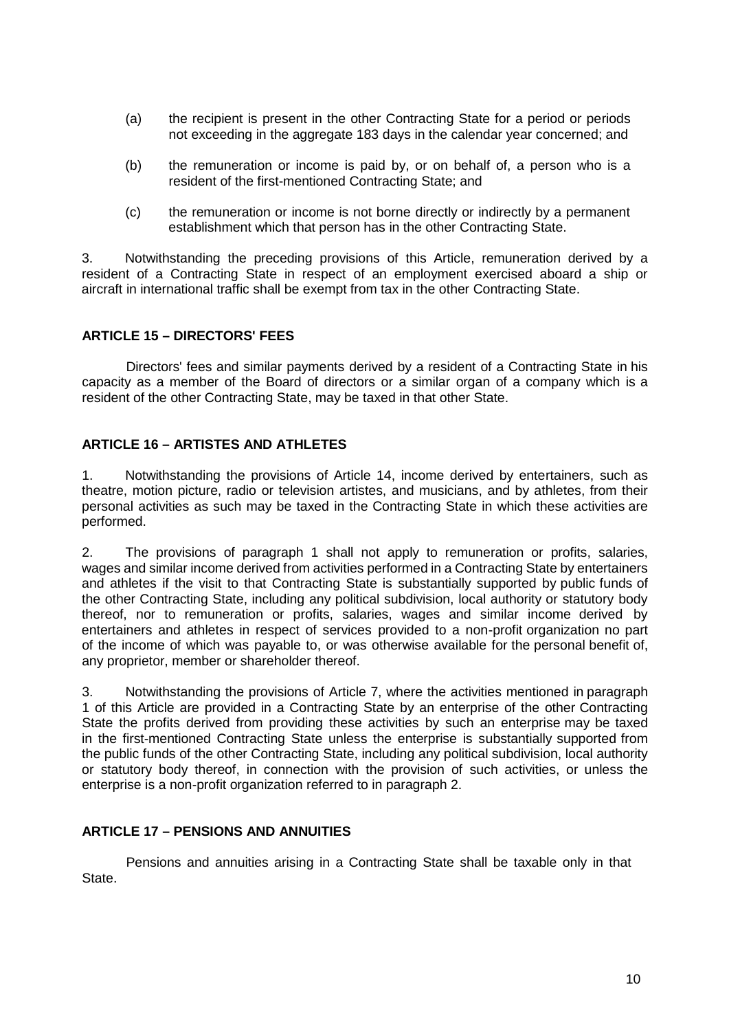- (a) the recipient is present in the other Contracting State for a period or periods not exceeding in the aggregate 183 days in the calendar year concerned; and
- (b) the remuneration or income is paid by, or on behalf of, a person who is a resident of the first-mentioned Contracting State; and
- (c) the remuneration or income is not borne directly or indirectly by a permanent establishment which that person has in the other Contracting State.

3. Notwithstanding the preceding provisions of this Article, remuneration derived by a resident of a Contracting State in respect of an employment exercised aboard a ship or aircraft in international traffic shall be exempt from tax in the other Contracting State.

# **ARTICLE 15 – DIRECTORS' FEES**

Directors' fees and similar payments derived by a resident of a Contracting State in his capacity as a member of the Board of directors or a similar organ of a company which is a resident of the other Contracting State, may be taxed in that other State.

#### **ARTICLE 16 – ARTISTES AND ATHLETES**

1. Notwithstanding the provisions of Article 14, income derived by entertainers, such as theatre, motion picture, radio or television artistes, and musicians, and by athletes, from their personal activities as such may be taxed in the Contracting State in which these activities are performed.

2. The provisions of paragraph 1 shall not apply to remuneration or profits, salaries, wages and similar income derived from activities performed in a Contracting State by entertainers and athletes if the visit to that Contracting State is substantially supported by public funds of the other Contracting State, including any political subdivision, local authority or statutory body thereof, nor to remuneration or profits, salaries, wages and similar income derived by entertainers and athletes in respect of services provided to a non-profit organization no part of the income of which was payable to, or was otherwise available for the personal benefit of, any proprietor, member or shareholder thereof.

3. Notwithstanding the provisions of Article 7, where the activities mentioned in paragraph 1 of this Article are provided in a Contracting State by an enterprise of the other Contracting State the profits derived from providing these activities by such an enterprise may be taxed in the first-mentioned Contracting State unless the enterprise is substantially supported from the public funds of the other Contracting State, including any political subdivision, local authority or statutory body thereof, in connection with the provision of such activities, or unless the enterprise is a non-profit organization referred to in paragraph 2.

#### **ARTICLE 17 – PENSIONS AND ANNUITIES**

State. Pensions and annuities arising in a Contracting State shall be taxable only in that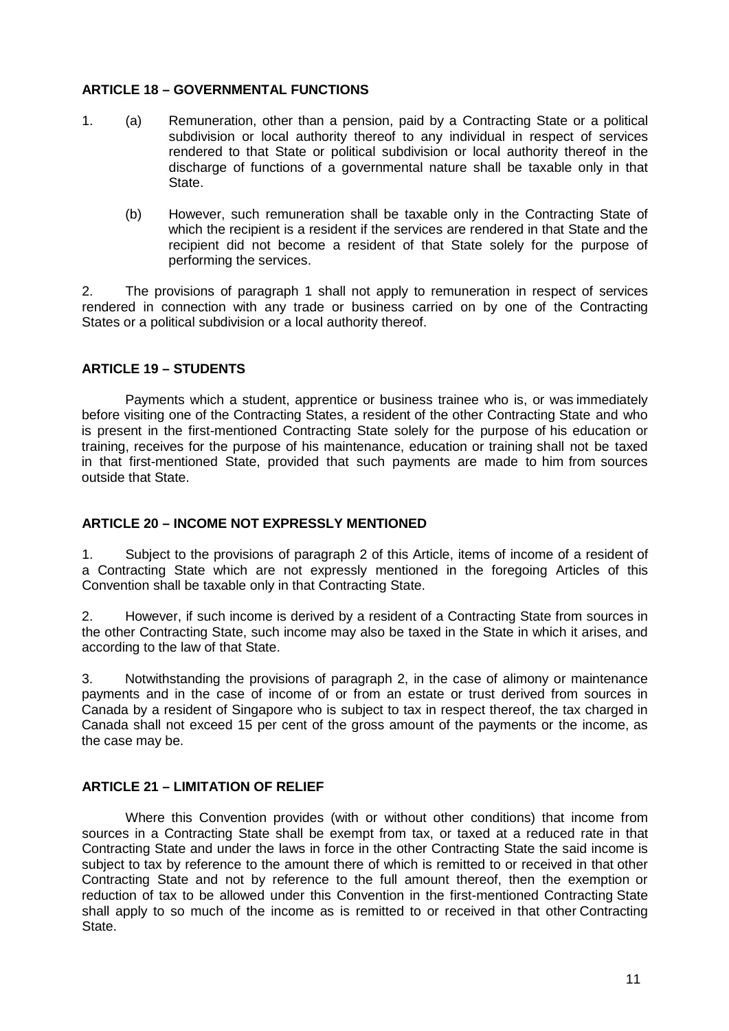# **ARTICLE 18 – GOVERNMENTAL FUNCTIONS**

- 1. (a) Remuneration, other than a pension, paid by a Contracting State or a political subdivision or local authority thereof to any individual in respect of services rendered to that State or political subdivision or local authority thereof in the discharge of functions of a governmental nature shall be taxable only in that State.
	- (b) However, such remuneration shall be taxable only in the Contracting State of which the recipient is a resident if the services are rendered in that State and the recipient did not become a resident of that State solely for the purpose of performing the services.

2. The provisions of paragraph 1 shall not apply to remuneration in respect of services rendered in connection with any trade or business carried on by one of the Contracting States or a political subdivision or a local authority thereof.

# **ARTICLE 19 – STUDENTS**

Payments which a student, apprentice or business trainee who is, or was immediately before visiting one of the Contracting States, a resident of the other Contracting State and who is present in the first-mentioned Contracting State solely for the purpose of his education or training, receives for the purpose of his maintenance, education or training shall not be taxed in that first-mentioned State, provided that such payments are made to him from sources outside that State.

#### **ARTICLE 20 – INCOME NOT EXPRESSLY MENTIONED**

1. Subject to the provisions of paragraph 2 of this Article, items of income of a resident of a Contracting State which are not expressly mentioned in the foregoing Articles of this Convention shall be taxable only in that Contracting State.

2. However, if such income is derived by a resident of a Contracting State from sources in the other Contracting State, such income may also be taxed in the State in which it arises, and according to the law of that State.

3. Notwithstanding the provisions of paragraph 2, in the case of alimony or maintenance payments and in the case of income of or from an estate or trust derived from sources in Canada by a resident of Singapore who is subject to tax in respect thereof, the tax charged in Canada shall not exceed 15 per cent of the gross amount of the payments or the income, as the case may be.

#### **ARTICLE 21 – LIMITATION OF RELIEF**

Where this Convention provides (with or without other conditions) that income from sources in a Contracting State shall be exempt from tax, or taxed at a reduced rate in that Contracting State and under the laws in force in the other Contracting State the said income is subject to tax by reference to the amount there of which is remitted to or received in that other Contracting State and not by reference to the full amount thereof, then the exemption or reduction of tax to be allowed under this Convention in the first-mentioned Contracting State shall apply to so much of the income as is remitted to or received in that other Contracting State.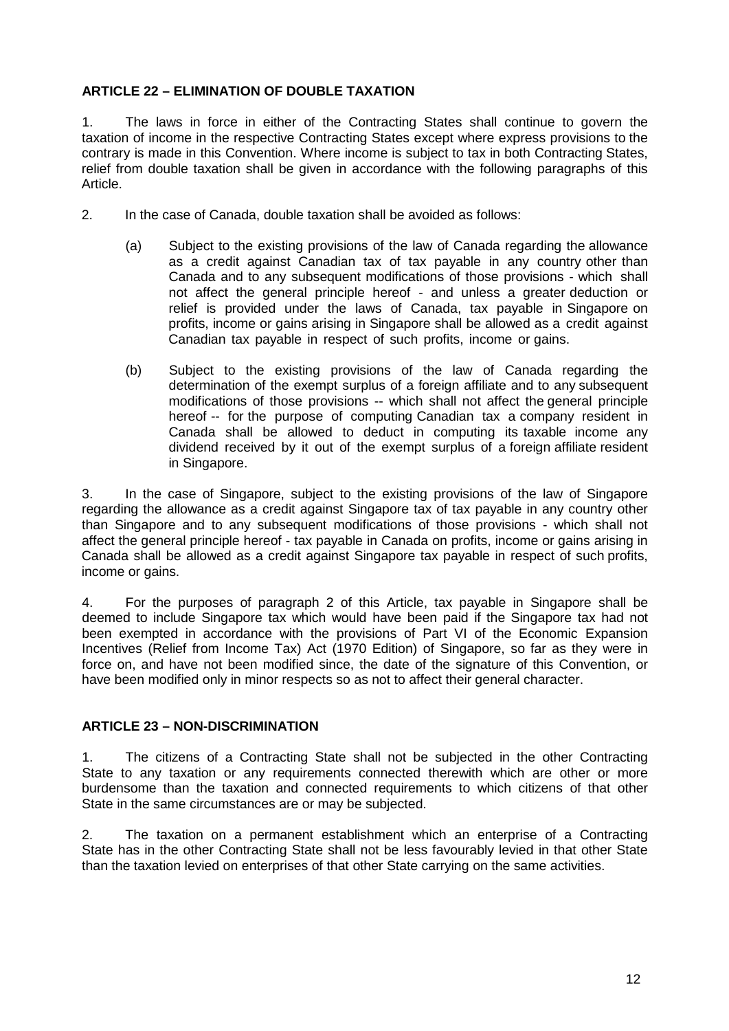# **ARTICLE 22 – ELIMINATION OF DOUBLE TAXATION**

1. The laws in force in either of the Contracting States shall continue to govern the taxation of income in the respective Contracting States except where express provisions to the contrary is made in this Convention. Where income is subject to tax in both Contracting States, relief from double taxation shall be given in accordance with the following paragraphs of this Article.

- 2. In the case of Canada, double taxation shall be avoided as follows:
	- (a) Subject to the existing provisions of the law of Canada regarding the allowance as a credit against Canadian tax of tax payable in any country other than Canada and to any subsequent modifications of those provisions - which shall not affect the general principle hereof - and unless a greater deduction or relief is provided under the laws of Canada, tax payable in Singapore on profits, income or gains arising in Singapore shall be allowed as a credit against Canadian tax payable in respect of such profits, income or gains.
	- (b) Subject to the existing provisions of the law of Canada regarding the determination of the exempt surplus of a foreign affiliate and to any subsequent modifications of those provisions -- which shall not affect the general principle hereof -- for the purpose of computing Canadian tax a company resident in Canada shall be allowed to deduct in computing its taxable income any dividend received by it out of the exempt surplus of a foreign affiliate resident in Singapore.

3. In the case of Singapore, subject to the existing provisions of the law of Singapore regarding the allowance as a credit against Singapore tax of tax payable in any country other than Singapore and to any subsequent modifications of those provisions - which shall not affect the general principle hereof - tax payable in Canada on profits, income or gains arising in Canada shall be allowed as a credit against Singapore tax payable in respect of such profits, income or gains.

4. For the purposes of paragraph 2 of this Article, tax payable in Singapore shall be deemed to include Singapore tax which would have been paid if the Singapore tax had not been exempted in accordance with the provisions of Part VI of the Economic Expansion Incentives (Relief from Income Tax) Act (1970 Edition) of Singapore, so far as they were in force on, and have not been modified since, the date of the signature of this Convention, or have been modified only in minor respects so as not to affect their general character.

# **ARTICLE 23 – NON-DISCRIMINATION**

1. The citizens of a Contracting State shall not be subjected in the other Contracting State to any taxation or any requirements connected therewith which are other or more burdensome than the taxation and connected requirements to which citizens of that other State in the same circumstances are or may be subjected.

2. The taxation on a permanent establishment which an enterprise of a Contracting State has in the other Contracting State shall not be less favourably levied in that other State than the taxation levied on enterprises of that other State carrying on the same activities.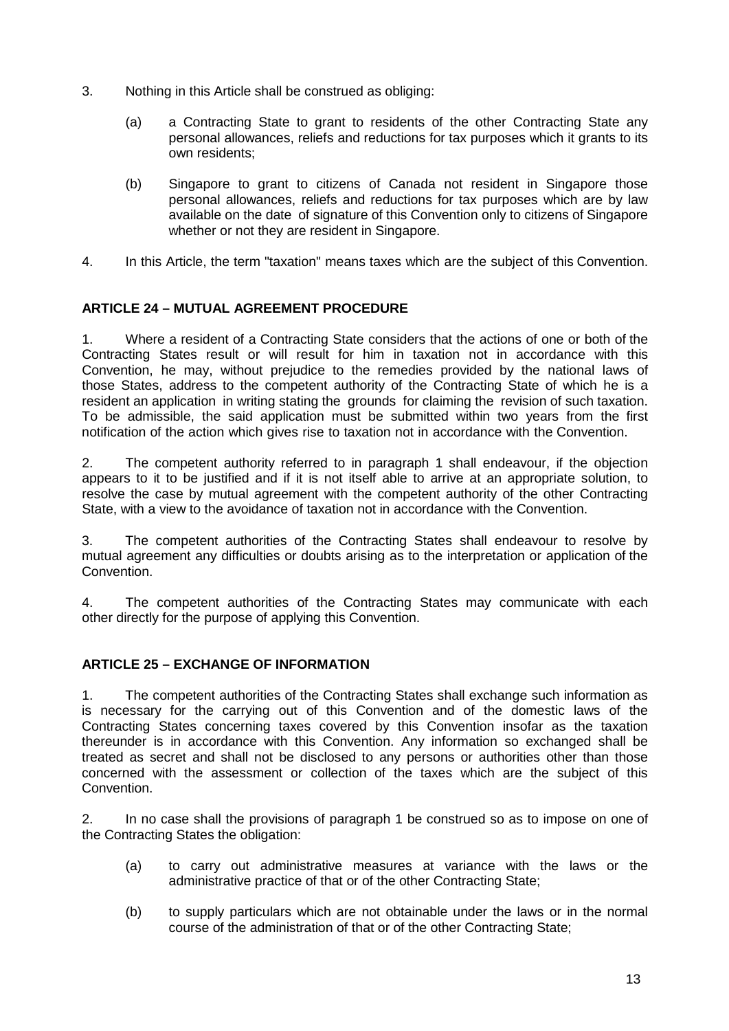- 3. Nothing in this Article shall be construed as obliging:
	- (a) a Contracting State to grant to residents of the other Contracting State any personal allowances, reliefs and reductions for tax purposes which it grants to its own residents;
	- (b) Singapore to grant to citizens of Canada not resident in Singapore those personal allowances, reliefs and reductions for tax purposes which are by law available on the date of signature of this Convention only to citizens of Singapore whether or not they are resident in Singapore.
- 4. In this Article, the term "taxation" means taxes which are the subject of this Convention.

# **ARTICLE 24 – MUTUAL AGREEMENT PROCEDURE**

1. Where a resident of a Contracting State considers that the actions of one or both of the Contracting States result or will result for him in taxation not in accordance with this Convention, he may, without prejudice to the remedies provided by the national laws of those States, address to the competent authority of the Contracting State of which he is a resident an application in writing stating the grounds for claiming the revision of such taxation. To be admissible, the said application must be submitted within two years from the first notification of the action which gives rise to taxation not in accordance with the Convention.

2. The competent authority referred to in paragraph 1 shall endeavour, if the objection appears to it to be justified and if it is not itself able to arrive at an appropriate solution, to resolve the case by mutual agreement with the competent authority of the other Contracting State, with a view to the avoidance of taxation not in accordance with the Convention.

3. The competent authorities of the Contracting States shall endeavour to resolve by mutual agreement any difficulties or doubts arising as to the interpretation or application of the Convention.

4. The competent authorities of the Contracting States may communicate with each other directly for the purpose of applying this Convention.

### **ARTICLE 25 – EXCHANGE OF INFORMATION**

1. The competent authorities of the Contracting States shall exchange such information as is necessary for the carrying out of this Convention and of the domestic laws of the Contracting States concerning taxes covered by this Convention insofar as the taxation thereunder is in accordance with this Convention. Any information so exchanged shall be treated as secret and shall not be disclosed to any persons or authorities other than those concerned with the assessment or collection of the taxes which are the subject of this Convention.

2. In no case shall the provisions of paragraph 1 be construed so as to impose on one of the Contracting States the obligation:

- (a) to carry out administrative measures at variance with the laws or the administrative practice of that or of the other Contracting State;
- (b) to supply particulars which are not obtainable under the laws or in the normal course of the administration of that or of the other Contracting State;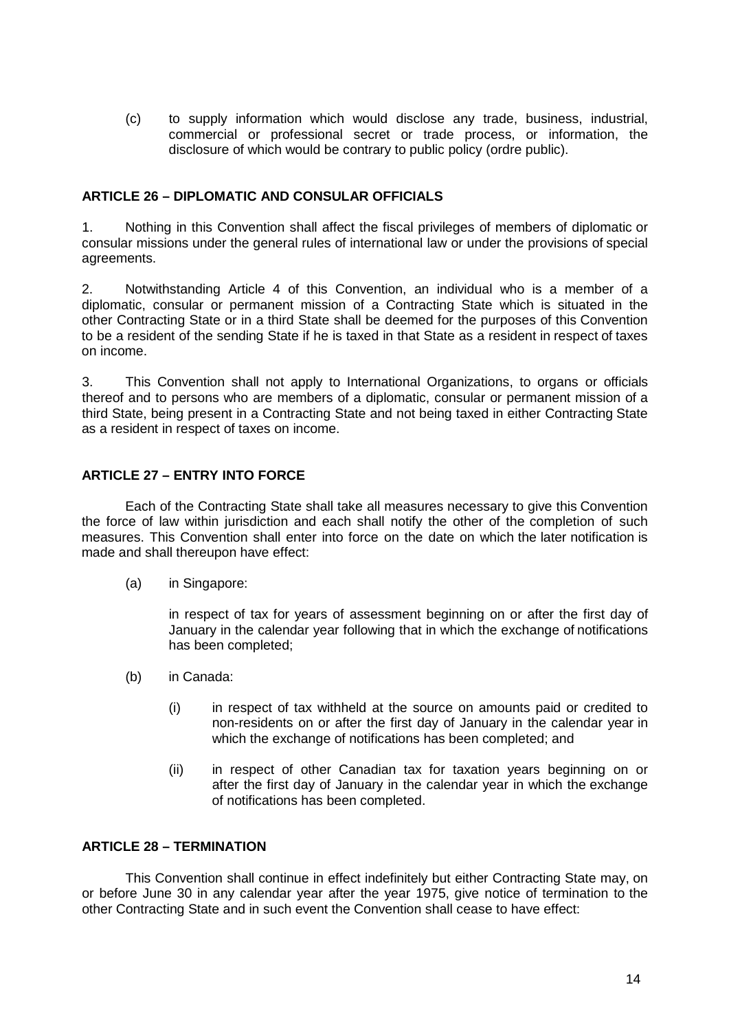(c) to supply information which would disclose any trade, business, industrial, commercial or professional secret or trade process, or information, the disclosure of which would be contrary to public policy (ordre public).

# **ARTICLE 26 – DIPLOMATIC AND CONSULAR OFFICIALS**

1. Nothing in this Convention shall affect the fiscal privileges of members of diplomatic or consular missions under the general rules of international law or under the provisions of special agreements.

2. Notwithstanding Article 4 of this Convention, an individual who is a member of a diplomatic, consular or permanent mission of a Contracting State which is situated in the other Contracting State or in a third State shall be deemed for the purposes of this Convention to be a resident of the sending State if he is taxed in that State as a resident in respect of taxes on income.

3. This Convention shall not apply to International Organizations, to organs or officials thereof and to persons who are members of a diplomatic, consular or permanent mission of a third State, being present in a Contracting State and not being taxed in either Contracting State as a resident in respect of taxes on income.

# **ARTICLE 27 – ENTRY INTO FORCE**

Each of the Contracting State shall take all measures necessary to give this Convention the force of law within jurisdiction and each shall notify the other of the completion of such measures. This Convention shall enter into force on the date on which the later notification is made and shall thereupon have effect:

(a) in Singapore:

in respect of tax for years of assessment beginning on or after the first day of January in the calendar year following that in which the exchange of notifications has been completed;

- (b) in Canada:
	- (i) in respect of tax withheld at the source on amounts paid or credited to non-residents on or after the first day of January in the calendar year in which the exchange of notifications has been completed; and
	- (ii) in respect of other Canadian tax for taxation years beginning on or after the first day of January in the calendar year in which the exchange of notifications has been completed.

#### **ARTICLE 28 – TERMINATION**

This Convention shall continue in effect indefinitely but either Contracting State may, on or before June 30 in any calendar year after the year 1975, give notice of termination to the other Contracting State and in such event the Convention shall cease to have effect: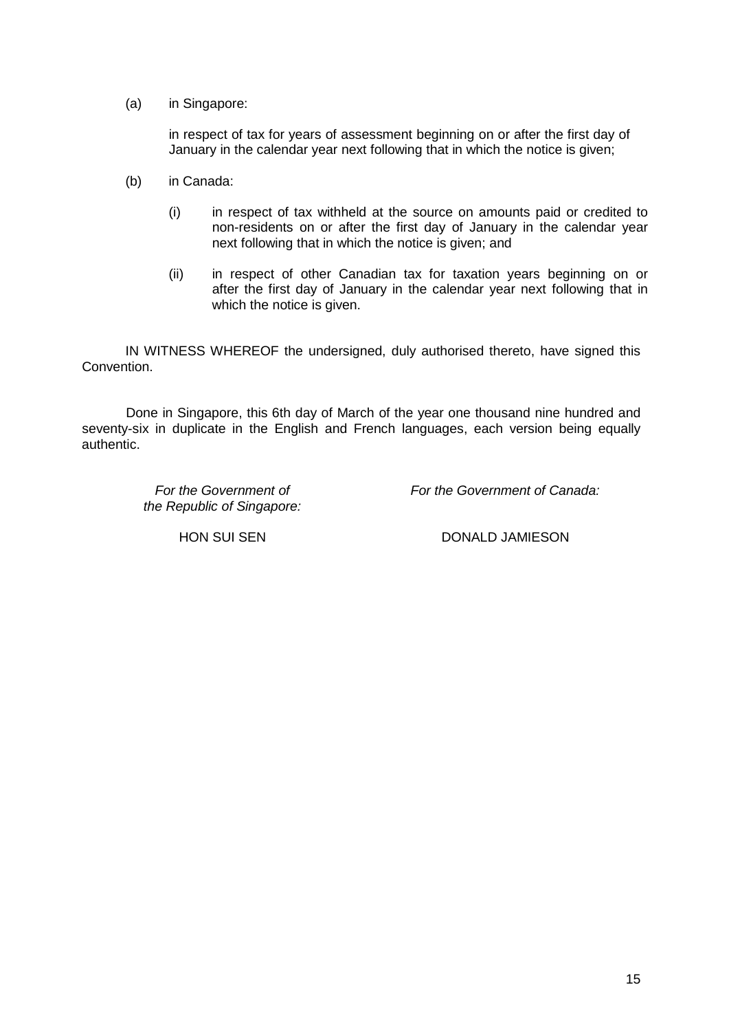(a) in Singapore:

in respect of tax for years of assessment beginning on or after the first day of January in the calendar year next following that in which the notice is given;

- (b) in Canada:
	- (i) in respect of tax withheld at the source on amounts paid or credited to non-residents on or after the first day of January in the calendar year next following that in which the notice is given; and
	- (ii) in respect of other Canadian tax for taxation years beginning on or after the first day of January in the calendar year next following that in which the notice is given.

IN WITNESS WHEREOF the undersigned, duly authorised thereto, have signed this Convention.

Done in Singapore, this 6th day of March of the year one thousand nine hundred and seventy-six in duplicate in the English and French languages, each version being equally authentic.

> *For the Government of the Republic of Singapore:*

*For the Government of Canada:*

HON SUI SEN DONALD JAMIESON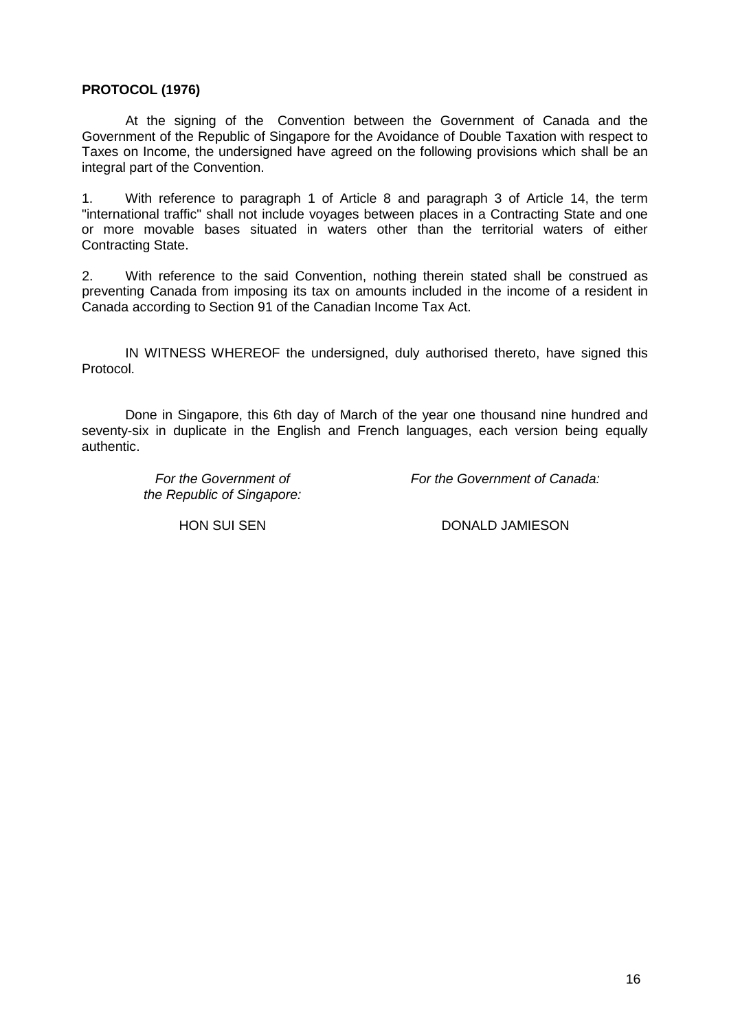# **PROTOCOL (1976)**

At the signing of the Convention between the Government of Canada and the Government of the Republic of Singapore for the Avoidance of Double Taxation with respect to Taxes on Income, the undersigned have agreed on the following provisions which shall be an integral part of the Convention.

1. With reference to paragraph 1 of Article 8 and paragraph 3 of Article 14, the term "international traffic" shall not include voyages between places in a Contracting State and one or more movable bases situated in waters other than the territorial waters of either Contracting State.

2. With reference to the said Convention, nothing therein stated shall be construed as preventing Canada from imposing its tax on amounts included in the income of a resident in Canada according to Section 91 of the Canadian Income Tax Act.

IN WITNESS WHEREOF the undersigned, duly authorised thereto, have signed this Protocol.

Done in Singapore, this 6th day of March of the year one thousand nine hundred and seventy-six in duplicate in the English and French languages, each version being equally authentic.

> *For the Government of the Republic of Singapore:*

*For the Government of Canada:*

HON SUI SEN DONALD JAMIESON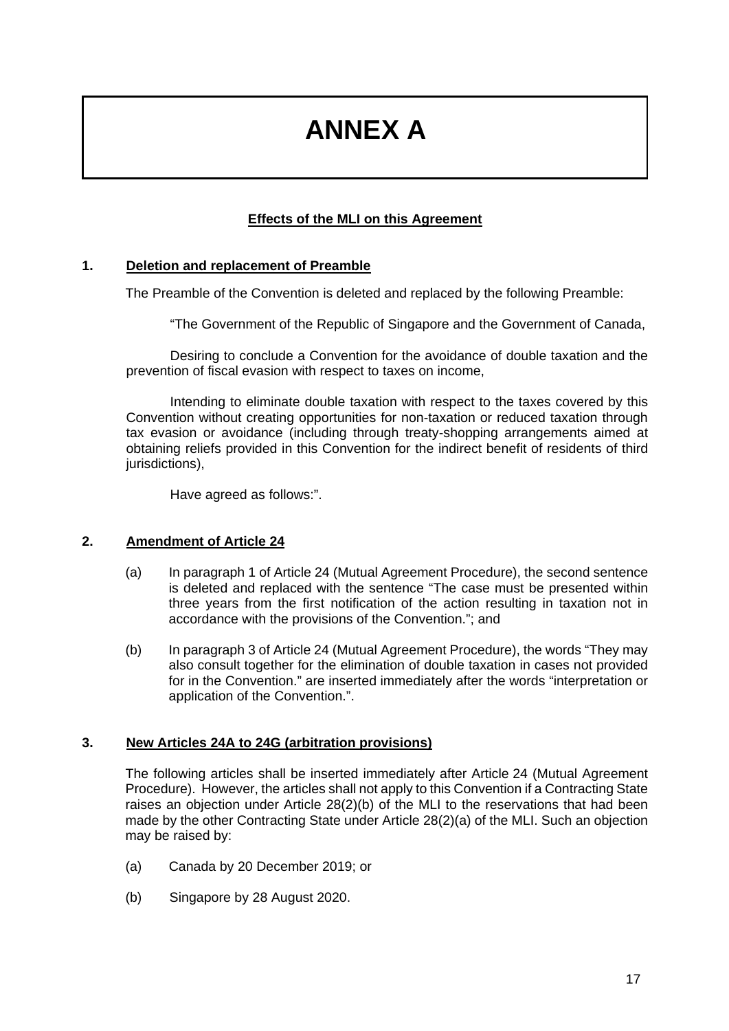# **ANNEX A**

# **Effects of the MLI on this Agreement**

#### **1. Deletion and replacement of Preamble**

The Preamble of the Convention is deleted and replaced by the following Preamble:

"The Government of the Republic of Singapore and the Government of Canada,

Desiring to conclude a Convention for the avoidance of double taxation and the prevention of fiscal evasion with respect to taxes on income,

Intending to eliminate double taxation with respect to the taxes covered by this Convention without creating opportunities for non-taxation or reduced taxation through tax evasion or avoidance (including through treaty-shopping arrangements aimed at obtaining reliefs provided in this Convention for the indirect benefit of residents of third jurisdictions),

Have agreed as follows:".

#### **2. Amendment of Article 24**

- (a) In paragraph 1 of Article 24 (Mutual Agreement Procedure), the second sentence is deleted and replaced with the sentence "The case must be presented within three years from the first notification of the action resulting in taxation not in accordance with the provisions of the Convention."; and
- (b) In paragraph 3 of Article 24 (Mutual Agreement Procedure), the words "They may also consult together for the elimination of double taxation in cases not provided for in the Convention." are inserted immediately after the words "interpretation or application of the Convention.".

#### **3. New Articles 24A to 24G (arbitration provisions)**

The following articles shall be inserted immediately after Article 24 (Mutual Agreement Procedure). However, the articles shall not apply to this Convention if a Contracting State raises an objection under Article 28(2)(b) of the MLI to the reservations that had been made by the other Contracting State under Article 28(2)(a) of the MLI. Such an objection may be raised by:

- (a) Canada by 20 December 2019; or
- (b) Singapore by 28 August 2020.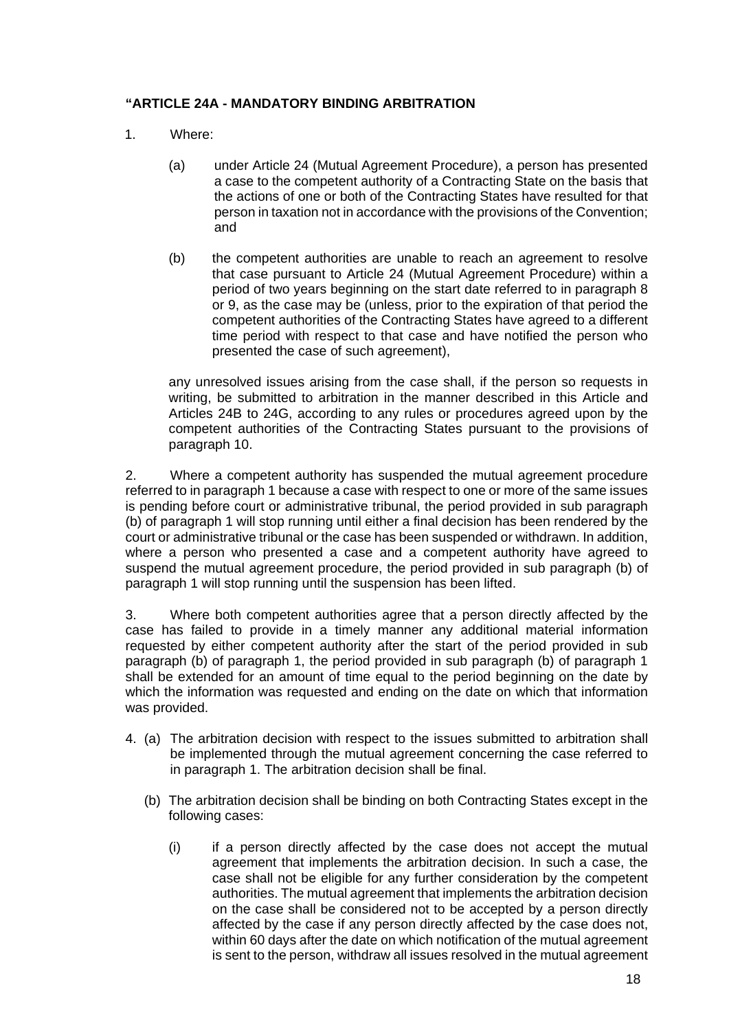# **"ARTICLE 24A - MANDATORY BINDING ARBITRATION**

- 1. Where:
	- (a) under Article 24 (Mutual Agreement Procedure), a person has presented a case to the competent authority of a Contracting State on the basis that the actions of one or both of the Contracting States have resulted for that person in taxation not in accordance with the provisions of the Convention; and
	- (b) the competent authorities are unable to reach an agreement to resolve that case pursuant to Article 24 (Mutual Agreement Procedure) within a period of two years beginning on the start date referred to in paragraph 8 or 9, as the case may be (unless, prior to the expiration of that period the competent authorities of the Contracting States have agreed to a different time period with respect to that case and have notified the person who presented the case of such agreement),

any unresolved issues arising from the case shall, if the person so requests in writing, be submitted to arbitration in the manner described in this Article and Articles 24B to 24G, according to any rules or procedures agreed upon by the competent authorities of the Contracting States pursuant to the provisions of paragraph 10.

2. Where a competent authority has suspended the mutual agreement procedure referred to in paragraph 1 because a case with respect to one or more of the same issues is pending before court or administrative tribunal, the period provided in sub paragraph (b) of paragraph 1 will stop running until either a final decision has been rendered by the court or administrative tribunal or the case has been suspended or withdrawn. In addition, where a person who presented a case and a competent authority have agreed to suspend the mutual agreement procedure, the period provided in sub paragraph (b) of paragraph 1 will stop running until the suspension has been lifted.

3. Where both competent authorities agree that a person directly affected by the case has failed to provide in a timely manner any additional material information requested by either competent authority after the start of the period provided in sub paragraph (b) of paragraph 1, the period provided in sub paragraph (b) of paragraph 1 shall be extended for an amount of time equal to the period beginning on the date by which the information was requested and ending on the date on which that information was provided.

- 4. (a) The arbitration decision with respect to the issues submitted to arbitration shall be implemented through the mutual agreement concerning the case referred to in paragraph 1. The arbitration decision shall be final.
	- (b) The arbitration decision shall be binding on both Contracting States except in the following cases:
		- (i) if a person directly affected by the case does not accept the mutual agreement that implements the arbitration decision. In such a case, the case shall not be eligible for any further consideration by the competent authorities. The mutual agreement that implements the arbitration decision on the case shall be considered not to be accepted by a person directly affected by the case if any person directly affected by the case does not, within 60 days after the date on which notification of the mutual agreement is sent to the person, withdraw all issues resolved in the mutual agreement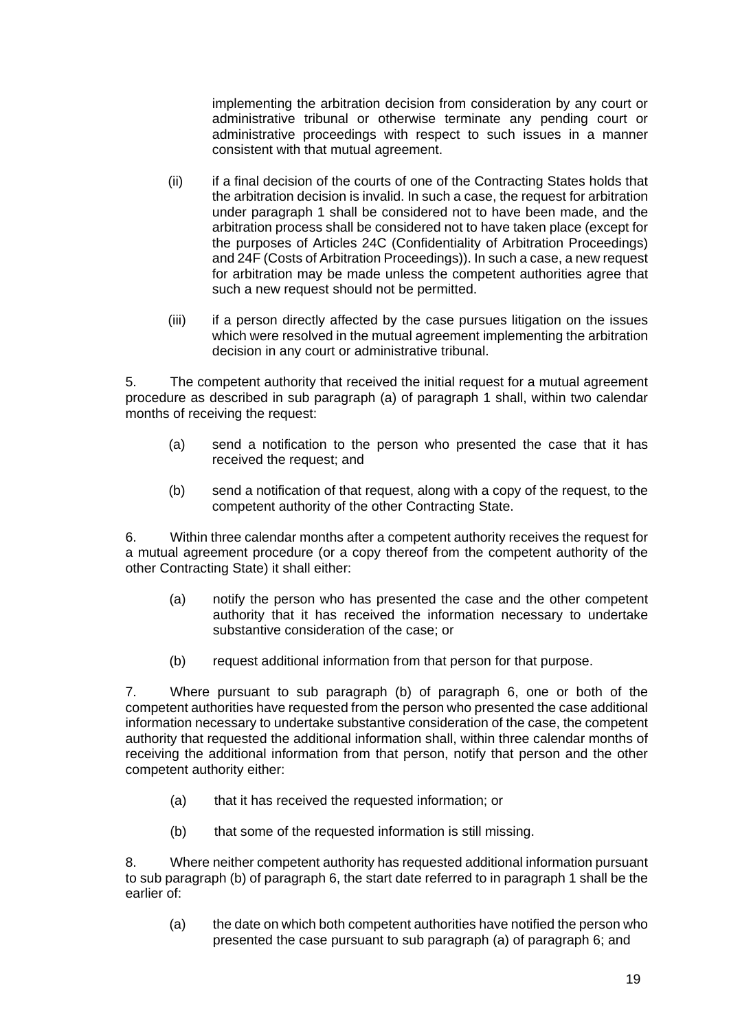implementing the arbitration decision from consideration by any court or administrative tribunal or otherwise terminate any pending court or administrative proceedings with respect to such issues in a manner consistent with that mutual agreement.

- (ii) if a final decision of the courts of one of the Contracting States holds that the arbitration decision is invalid. In such a case, the request for arbitration under paragraph 1 shall be considered not to have been made, and the arbitration process shall be considered not to have taken place (except for the purposes of Articles 24C (Confidentiality of Arbitration Proceedings) and 24F (Costs of Arbitration Proceedings)). In such a case, a new request for arbitration may be made unless the competent authorities agree that such a new request should not be permitted.
- (iii) if a person directly affected by the case pursues litigation on the issues which were resolved in the mutual agreement implementing the arbitration decision in any court or administrative tribunal.

5. The competent authority that received the initial request for a mutual agreement procedure as described in sub paragraph (a) of paragraph 1 shall, within two calendar months of receiving the request:

- (a) send a notification to the person who presented the case that it has received the request; and
- (b) send a notification of that request, along with a copy of the request, to the competent authority of the other Contracting State.

6. Within three calendar months after a competent authority receives the request for a mutual agreement procedure (or a copy thereof from the competent authority of the other Contracting State) it shall either:

- (a) notify the person who has presented the case and the other competent authority that it has received the information necessary to undertake substantive consideration of the case; or
- (b) request additional information from that person for that purpose.

7. Where pursuant to sub paragraph (b) of paragraph 6, one or both of the competent authorities have requested from the person who presented the case additional information necessary to undertake substantive consideration of the case, the competent authority that requested the additional information shall, within three calendar months of receiving the additional information from that person, notify that person and the other competent authority either:

- (a) that it has received the requested information; or
- (b) that some of the requested information is still missing.

8. Where neither competent authority has requested additional information pursuant to sub paragraph (b) of paragraph 6, the start date referred to in paragraph 1 shall be the earlier of:

(a) the date on which both competent authorities have notified the person who presented the case pursuant to sub paragraph (a) of paragraph 6; and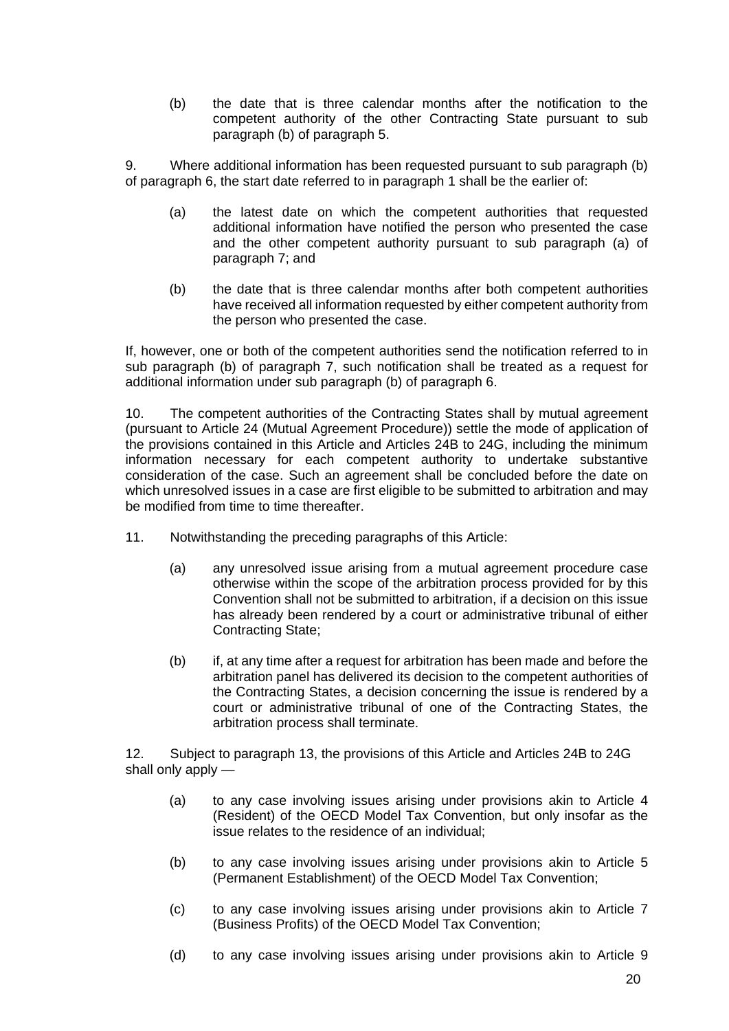(b) the date that is three calendar months after the notification to the competent authority of the other Contracting State pursuant to sub paragraph (b) of paragraph 5.

9. Where additional information has been requested pursuant to sub paragraph (b) of paragraph 6, the start date referred to in paragraph 1 shall be the earlier of:

- (a) the latest date on which the competent authorities that requested additional information have notified the person who presented the case and the other competent authority pursuant to sub paragraph (a) of paragraph 7; and
- (b) the date that is three calendar months after both competent authorities have received all information requested by either competent authority from the person who presented the case.

If, however, one or both of the competent authorities send the notification referred to in sub paragraph (b) of paragraph 7, such notification shall be treated as a request for additional information under sub paragraph (b) of paragraph 6.

10. The competent authorities of the Contracting States shall by mutual agreement (pursuant to Article 24 (Mutual Agreement Procedure)) settle the mode of application of the provisions contained in this Article and Articles 24B to 24G, including the minimum information necessary for each competent authority to undertake substantive consideration of the case. Such an agreement shall be concluded before the date on which unresolved issues in a case are first eligible to be submitted to arbitration and may be modified from time to time thereafter.

- 11. Notwithstanding the preceding paragraphs of this Article:
	- (a) any unresolved issue arising from a mutual agreement procedure case otherwise within the scope of the arbitration process provided for by this Convention shall not be submitted to arbitration, if a decision on this issue has already been rendered by a court or administrative tribunal of either Contracting State;
	- (b) if, at any time after a request for arbitration has been made and before the arbitration panel has delivered its decision to the competent authorities of the Contracting States, a decision concerning the issue is rendered by a court or administrative tribunal of one of the Contracting States, the arbitration process shall terminate.

12. Subject to paragraph 13, the provisions of this Article and Articles 24B to 24G shall only apply —

- (a) to any case involving issues arising under provisions akin to Article 4 (Resident) of the OECD Model Tax Convention, but only insofar as the issue relates to the residence of an individual;
- (b) to any case involving issues arising under provisions akin to Article 5 (Permanent Establishment) of the OECD Model Tax Convention;
- (c) to any case involving issues arising under provisions akin to Article 7 (Business Profits) of the OECD Model Tax Convention;
- (d) to any case involving issues arising under provisions akin to Article 9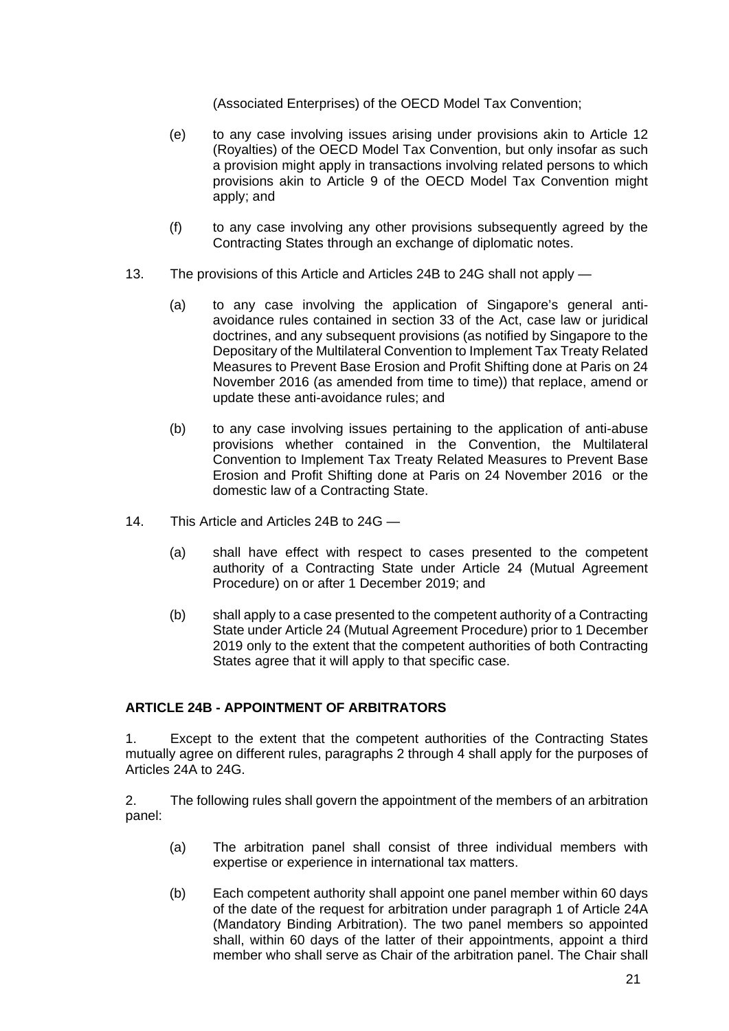(Associated Enterprises) of the OECD Model Tax Convention;

- (e) to any case involving issues arising under provisions akin to Article 12 (Royalties) of the OECD Model Tax Convention, but only insofar as such a provision might apply in transactions involving related persons to which provisions akin to Article 9 of the OECD Model Tax Convention might apply; and
- (f) to any case involving any other provisions subsequently agreed by the Contracting States through an exchange of diplomatic notes.
- 13. The provisions of this Article and Articles 24B to 24G shall not apply
	- (a) to any case involving the application of Singapore's general antiavoidance rules contained in section 33 of the Act, case law or juridical doctrines, and any subsequent provisions (as notified by Singapore to the Depositary of the Multilateral Convention to Implement Tax Treaty Related Measures to Prevent Base Erosion and Profit Shifting done at Paris on 24 November 2016 (as amended from time to time)) that replace, amend or update these anti-avoidance rules; and
	- (b) to any case involving issues pertaining to the application of anti-abuse provisions whether contained in the Convention, the Multilateral Convention to Implement Tax Treaty Related Measures to Prevent Base Erosion and Profit Shifting done at Paris on 24 November 2016 or the domestic law of a Contracting State.
- 14. This Article and Articles 24B to 24G
	- (a) shall have effect with respect to cases presented to the competent authority of a Contracting State under Article 24 (Mutual Agreement Procedure) on or after 1 December 2019; and
	- (b) shall apply to a case presented to the competent authority of a Contracting State under Article 24 (Mutual Agreement Procedure) prior to 1 December 2019 only to the extent that the competent authorities of both Contracting States agree that it will apply to that specific case.

# **ARTICLE 24B - APPOINTMENT OF ARBITRATORS**

1. Except to the extent that the competent authorities of the Contracting States mutually agree on different rules, paragraphs 2 through 4 shall apply for the purposes of Articles 24A to 24G.

2. The following rules shall govern the appointment of the members of an arbitration panel:

- (a) The arbitration panel shall consist of three individual members with expertise or experience in international tax matters.
- (b) Each competent authority shall appoint one panel member within 60 days of the date of the request for arbitration under paragraph 1 of Article 24A (Mandatory Binding Arbitration). The two panel members so appointed shall, within 60 days of the latter of their appointments, appoint a third member who shall serve as Chair of the arbitration panel. The Chair shall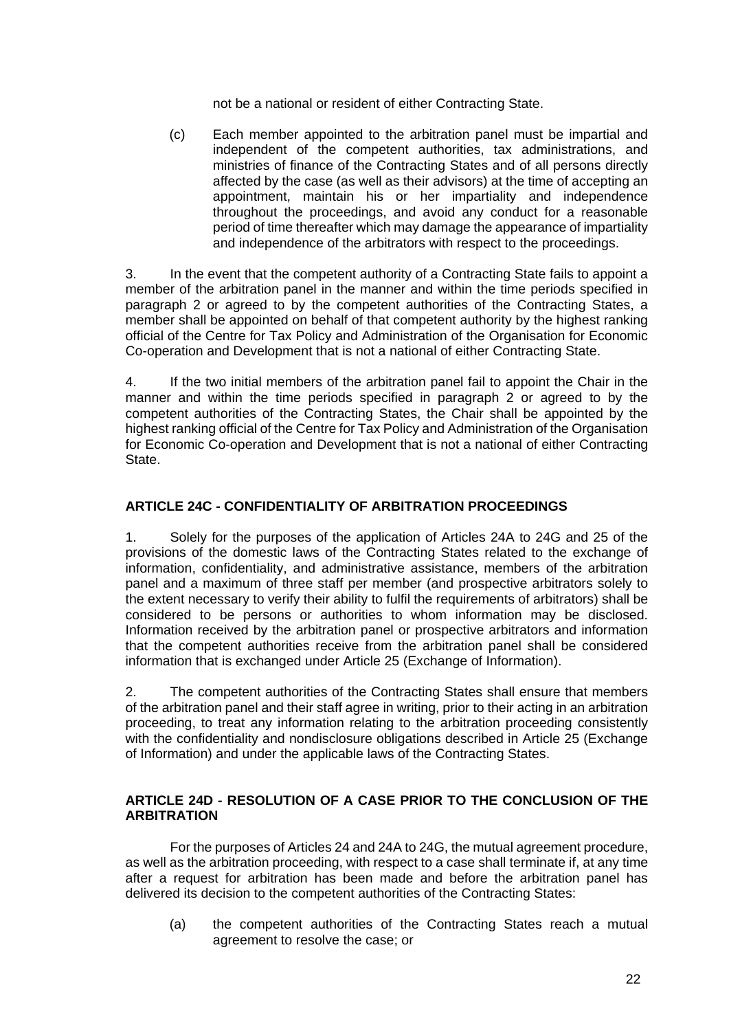not be a national or resident of either Contracting State.

(c) Each member appointed to the arbitration panel must be impartial and independent of the competent authorities, tax administrations, and ministries of finance of the Contracting States and of all persons directly affected by the case (as well as their advisors) at the time of accepting an appointment, maintain his or her impartiality and independence throughout the proceedings, and avoid any conduct for a reasonable period of time thereafter which may damage the appearance of impartiality and independence of the arbitrators with respect to the proceedings.

3. In the event that the competent authority of a Contracting State fails to appoint a member of the arbitration panel in the manner and within the time periods specified in paragraph 2 or agreed to by the competent authorities of the Contracting States, a member shall be appointed on behalf of that competent authority by the highest ranking official of the Centre for Tax Policy and Administration of the Organisation for Economic Co-operation and Development that is not a national of either Contracting State.

4. If the two initial members of the arbitration panel fail to appoint the Chair in the manner and within the time periods specified in paragraph 2 or agreed to by the competent authorities of the Contracting States, the Chair shall be appointed by the highest ranking official of the Centre for Tax Policy and Administration of the Organisation for Economic Co-operation and Development that is not a national of either Contracting State.

# **ARTICLE 24C - CONFIDENTIALITY OF ARBITRATION PROCEEDINGS**

1. Solely for the purposes of the application of Articles 24A to 24G and 25 of the provisions of the domestic laws of the Contracting States related to the exchange of information, confidentiality, and administrative assistance, members of the arbitration panel and a maximum of three staff per member (and prospective arbitrators solely to the extent necessary to verify their ability to fulfil the requirements of arbitrators) shall be considered to be persons or authorities to whom information may be disclosed. Information received by the arbitration panel or prospective arbitrators and information that the competent authorities receive from the arbitration panel shall be considered information that is exchanged under Article 25 (Exchange of Information).

2. The competent authorities of the Contracting States shall ensure that members of the arbitration panel and their staff agree in writing, prior to their acting in an arbitration proceeding, to treat any information relating to the arbitration proceeding consistently with the confidentiality and nondisclosure obligations described in Article 25 (Exchange of Information) and under the applicable laws of the Contracting States.

#### **ARTICLE 24D - RESOLUTION OF A CASE PRIOR TO THE CONCLUSION OF THE ARBITRATION**

For the purposes of Articles 24 and 24A to 24G, the mutual agreement procedure, as well as the arbitration proceeding, with respect to a case shall terminate if, at any time after a request for arbitration has been made and before the arbitration panel has delivered its decision to the competent authorities of the Contracting States:

(a) the competent authorities of the Contracting States reach a mutual agreement to resolve the case; or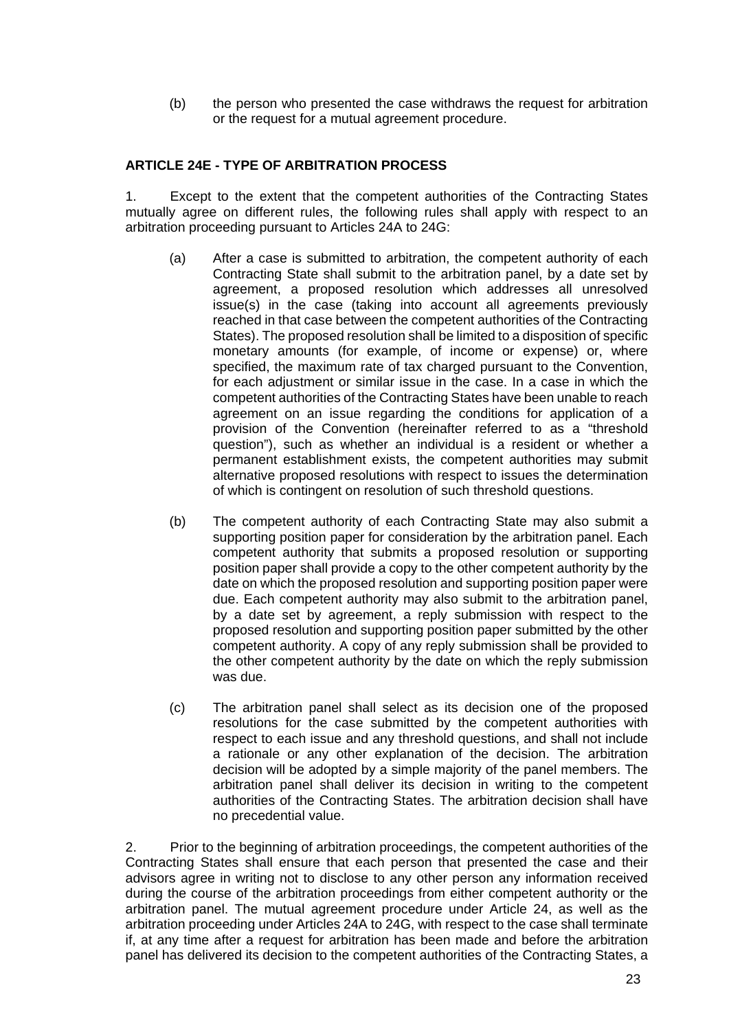(b) the person who presented the case withdraws the request for arbitration or the request for a mutual agreement procedure.

# **ARTICLE 24E - TYPE OF ARBITRATION PROCESS**

1. Except to the extent that the competent authorities of the Contracting States mutually agree on different rules, the following rules shall apply with respect to an arbitration proceeding pursuant to Articles 24A to 24G:

- (a) After a case is submitted to arbitration, the competent authority of each Contracting State shall submit to the arbitration panel, by a date set by agreement, a proposed resolution which addresses all unresolved issue(s) in the case (taking into account all agreements previously reached in that case between the competent authorities of the Contracting States). The proposed resolution shall be limited to a disposition of specific monetary amounts (for example, of income or expense) or, where specified, the maximum rate of tax charged pursuant to the Convention, for each adjustment or similar issue in the case. In a case in which the competent authorities of the Contracting States have been unable to reach agreement on an issue regarding the conditions for application of a provision of the Convention (hereinafter referred to as a "threshold question"), such as whether an individual is a resident or whether a permanent establishment exists, the competent authorities may submit alternative proposed resolutions with respect to issues the determination of which is contingent on resolution of such threshold questions.
- (b) The competent authority of each Contracting State may also submit a supporting position paper for consideration by the arbitration panel. Each competent authority that submits a proposed resolution or supporting position paper shall provide a copy to the other competent authority by the date on which the proposed resolution and supporting position paper were due. Each competent authority may also submit to the arbitration panel, by a date set by agreement, a reply submission with respect to the proposed resolution and supporting position paper submitted by the other competent authority. A copy of any reply submission shall be provided to the other competent authority by the date on which the reply submission was due.
- (c) The arbitration panel shall select as its decision one of the proposed resolutions for the case submitted by the competent authorities with respect to each issue and any threshold questions, and shall not include a rationale or any other explanation of the decision. The arbitration decision will be adopted by a simple majority of the panel members. The arbitration panel shall deliver its decision in writing to the competent authorities of the Contracting States. The arbitration decision shall have no precedential value.

2. Prior to the beginning of arbitration proceedings, the competent authorities of the Contracting States shall ensure that each person that presented the case and their advisors agree in writing not to disclose to any other person any information received during the course of the arbitration proceedings from either competent authority or the arbitration panel. The mutual agreement procedure under Article 24, as well as the arbitration proceeding under Articles 24A to 24G, with respect to the case shall terminate if, at any time after a request for arbitration has been made and before the arbitration panel has delivered its decision to the competent authorities of the Contracting States, a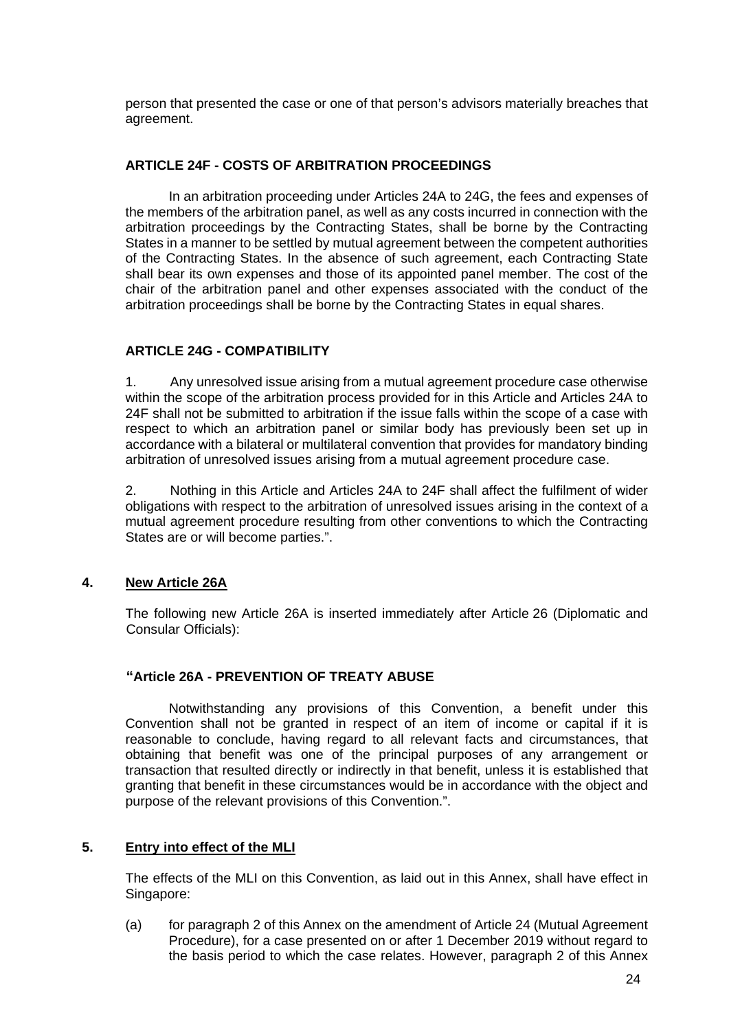person that presented the case or one of that person's advisors materially breaches that agreement.

# **ARTICLE 24F - COSTS OF ARBITRATION PROCEEDINGS**

In an arbitration proceeding under Articles 24A to 24G, the fees and expenses of the members of the arbitration panel, as well as any costs incurred in connection with the arbitration proceedings by the Contracting States, shall be borne by the Contracting States in a manner to be settled by mutual agreement between the competent authorities of the Contracting States. In the absence of such agreement, each Contracting State shall bear its own expenses and those of its appointed panel member. The cost of the chair of the arbitration panel and other expenses associated with the conduct of the arbitration proceedings shall be borne by the Contracting States in equal shares.

#### **ARTICLE 24G - COMPATIBILITY**

1. Any unresolved issue arising from a mutual agreement procedure case otherwise within the scope of the arbitration process provided for in this Article and Articles 24A to 24F shall not be submitted to arbitration if the issue falls within the scope of a case with respect to which an arbitration panel or similar body has previously been set up in accordance with a bilateral or multilateral convention that provides for mandatory binding arbitration of unresolved issues arising from a mutual agreement procedure case.

2. Nothing in this Article and Articles 24A to 24F shall affect the fulfilment of wider obligations with respect to the arbitration of unresolved issues arising in the context of a mutual agreement procedure resulting from other conventions to which the Contracting States are or will become parties.".

# **4. New Article 26A**

The following new Article 26A is inserted immediately after Article 26 (Diplomatic and Consular Officials):

#### **"Article 26A - PREVENTION OF TREATY ABUSE**

 Notwithstanding any provisions of this Convention, a benefit under this Convention shall not be granted in respect of an item of income or capital if it is reasonable to conclude, having regard to all relevant facts and circumstances, that obtaining that benefit was one of the principal purposes of any arrangement or transaction that resulted directly or indirectly in that benefit, unless it is established that granting that benefit in these circumstances would be in accordance with the object and purpose of the relevant provisions of this Convention.".

#### **5. Entry into effect of the MLI**

The effects of the MLI on this Convention, as laid out in this Annex, shall have effect in Singapore:

(a) for paragraph 2 of this Annex on the amendment of Article 24 (Mutual Agreement Procedure), for a case presented on or after 1 December 2019 without regard to the basis period to which the case relates. However, paragraph 2 of this Annex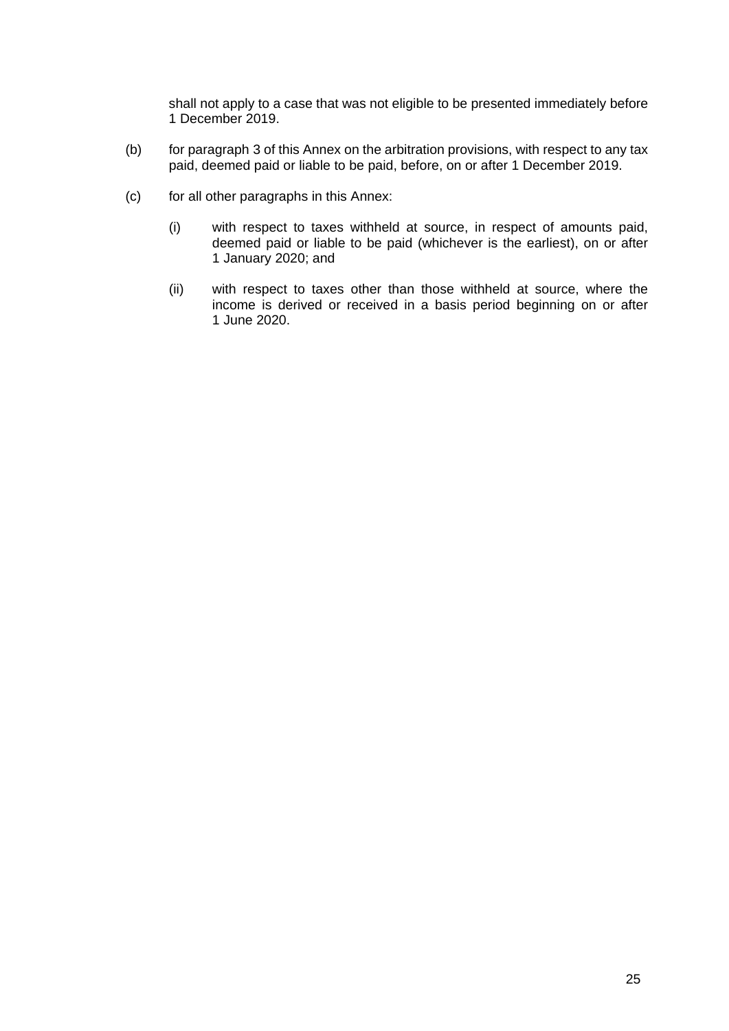shall not apply to a case that was not eligible to be presented immediately before 1 December 2019.

- (b) for paragraph 3 of this Annex on the arbitration provisions, with respect to any tax paid, deemed paid or liable to be paid, before, on or after 1 December 2019.
- (c) for all other paragraphs in this Annex:
	- (i) with respect to taxes withheld at source, in respect of amounts paid, deemed paid or liable to be paid (whichever is the earliest), on or after 1 January 2020; and
	- (ii) with respect to taxes other than those withheld at source, where the income is derived or received in a basis period beginning on or after 1 June 2020.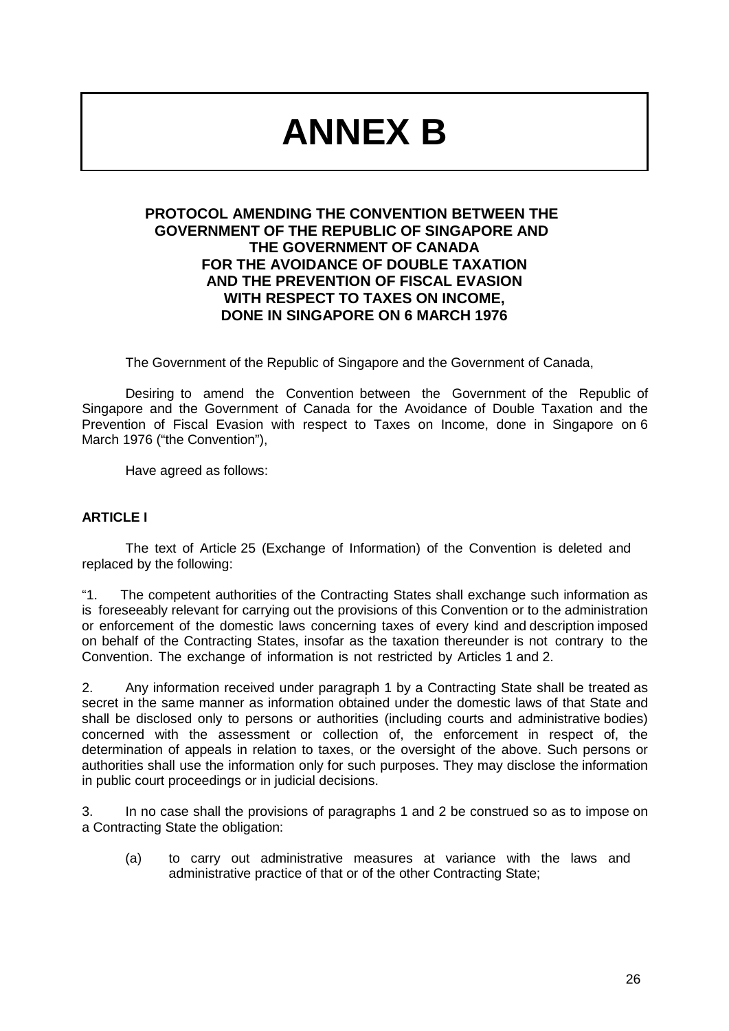# **ANNEX B**

# **PROTOCOL AMENDING THE CONVENTION BETWEEN THE GOVERNMENT OF THE REPUBLIC OF SINGAPORE AND THE GOVERNMENT OF CANADA FOR THE AVOIDANCE OF DOUBLE TAXATION AND THE PREVENTION OF FISCAL EVASION WITH RESPECT TO TAXES ON INCOME, DONE IN SINGAPORE ON 6 MARCH 1976**

The Government of the Republic of Singapore and the Government of Canada,

Desiring to amend the Convention between the Government of the Republic of Singapore and the Government of Canada for the Avoidance of Double Taxation and the Prevention of Fiscal Evasion with respect to Taxes on Income, done in Singapore on 6 March 1976 ("the Convention"),

Have agreed as follows:

#### **ARTICLE I**

The text of Article 25 (Exchange of Information) of the Convention is deleted and replaced by the following:

"1. The competent authorities of the Contracting States shall exchange such information as is foreseeably relevant for carrying out the provisions of this Convention or to the administration or enforcement of the domestic laws concerning taxes of every kind and description imposed on behalf of the Contracting States, insofar as the taxation thereunder is not contrary to the Convention. The exchange of information is not restricted by Articles 1 and 2.

2. Any information received under paragraph 1 by a Contracting State shall be treated as secret in the same manner as information obtained under the domestic laws of that State and shall be disclosed only to persons or authorities (including courts and administrative bodies) concerned with the assessment or collection of, the enforcement in respect of, the determination of appeals in relation to taxes, or the oversight of the above. Such persons or authorities shall use the information only for such purposes. They may disclose the information in public court proceedings or in judicial decisions.

3. In no case shall the provisions of paragraphs 1 and 2 be construed so as to impose on a Contracting State the obligation:

(a) to carry out administrative measures at variance with the laws and administrative practice of that or of the other Contracting State;